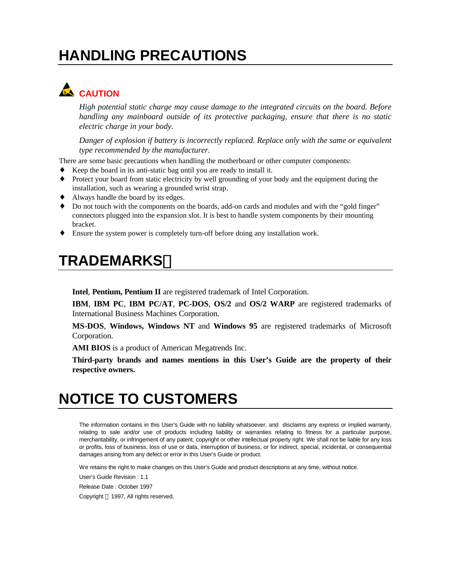# **HANDLING PRECAUTIONS**

# **CAUTION**

*High potential static charge may cause damage to the integrated circuits on the board. Before handling any mainboard outside of its protective packaging, ensure that there is no static electric charge in your body.*

*Danger of explosion if battery is incorrectly replaced. Replace only with the same or equivalent type recommended by the manufacturer.*

There are some basic precautions when handling the motherboard or other computer components:

- Keep the board in its anti-static bag until you are ready to install it.
- Protect your board from static electricity by well grounding of your body and the equipment during the installation, such as wearing a grounded wrist strap.
- Always handle the board by its edges.
- ♦ Do not touch with the components on the boards, add-on cards and modules and with the "gold finger" connectors plugged into the expansion slot. It is best to handle system components by their mounting bracket.
- Ensure the system power is completely turn-off before doing any installation work.

### **TRADEMARKS**

**Intel**, **Pentium, Pentium II** are registered trademark of Intel Corporation.

**IBM**, **IBM PC**, **IBM PC/AT**, **PC-DOS**, **OS/2** and **OS/2 WARP** are registered trademarks of International Business Machines Corporation.

**MS-DOS**, **Windows, Windows NT** and **Windows 95** are registered trademarks of Microsoft Corporation.

**AMI BIOS** is a product of American Megatrends Inc.

**Third-party brands and names mentions in this User's Guide are the property of their respective owners.**

# **NOTICE TO CUSTOMERS**

The information contains in this User's Guide with no liability whatsoever, and disclaims any express or implied warranty, relating to sale and/or use of products including liability or warranties relating to fitness for a particular purpose, merchantability, or infringement of any patent, copyright or other intellectual property right. We shall not be liable for any loss or profits, loss of business, loss of use or data, interruption of business, or for indirect, special, incidental, or consequential damages arising from any defect or error in this User's Guide or product.

We retains the right to make changes on this User's Guide and product descriptions at any time, without notice.

User's Guide Revision : 1.1

Release Date : October 1997

Copyright © 1997, All rights reserved.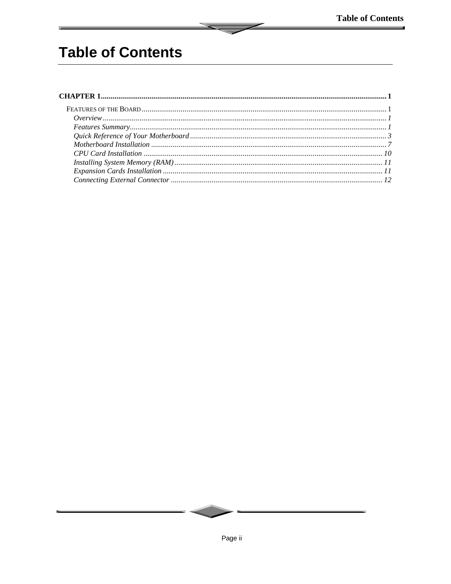# **Table of Contents**

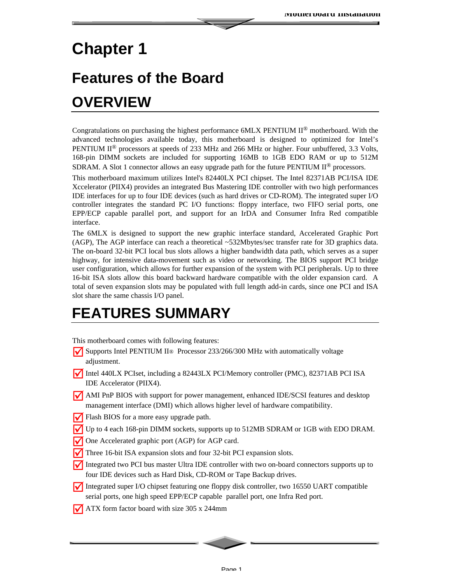# **Chapter 1**

# **Features of the Board OVERVIEW**

Congratulations on purchasing the highest performance 6MLX PENTIUM II® motherboard. With the advanced technologies available today, this motherboard is designed to optimized for Intel's PENTIUM  $II^{\circledR}$  processors at speeds of 233 MHz and 266 MHz or higher. Four unbuffered, 3.3 Volts, 168-pin DIMM sockets are included for supporting 16MB to 1GB EDO RAM or up to 512M SDRAM. A Slot 1 connector allows an easy upgrade path for the future PENTIUM  $II^{\circledR}$  processors.

This motherboard maximum utilizes Intel's 82440LX PCI chipset. The Intel 82371AB PCI/ISA IDE Xccelerator (PIIX4) provides an integrated Bus Mastering IDE controller with two high performances IDE interfaces for up to four IDE devices (such as hard drives or CD-ROM). The integrated super I/O controller integrates the standard PC I/O functions: floppy interface, two FIFO serial ports, one EPP/ECP capable parallel port, and support for an IrDA and Consumer Infra Red compatible interface.

The 6MLX is designed to support the new graphic interface standard, Accelerated Graphic Port (AGP), The AGP interface can reach a theoretical ~532Mbytes/sec transfer rate for 3D graphics data. The on-board 32-bit PCI local bus slots allows a higher bandwidth data path, which serves as a super highway, for intensive data-movement such as video or networking. The BIOS support PCI bridge user configuration, which allows for further expansion of the system with PCI peripherals. Up to three 16-bit ISA slots allow this board backward hardware compatible with the older expansion card. A total of seven expansion slots may be populated with full length add-in cards, since one PCI and ISA slot share the same chassis I/O panel.

# **FEATURES SUMMARY**

This motherboard comes with following features:

- **V** Supports Intel PENTIUM II<sup>®</sup> Processor 233/266/300 MHz with automatically voltage adjustment.
- Intel 440LX PCIset, including a 82443LX PCI/Memory controller (PMC), 82371AB PCI ISA IDE Accelerator (PIIX4).
- MI PnP BIOS with support for power management, enhanced IDE/SCSI features and desktop management interface (DMI) which allows higher level of hardware compatibility.
- Flash BIOS for a more easy upgrade path.
- Up to 4 each 168-pin DIMM sockets, supports up to 512MB SDRAM or 1GB with EDO DRAM.
- One Accelerated graphic port (AGP) for AGP card.
- ˛Three 16-bit ISA expansion slots and four 32-bit PCI expansion slots.
- Integrated two PCI bus master Ultra IDE controller with two on-board connectors supports up to four IDE devices such as Hard Disk, CD-ROM or Tape Backup drives.
- Integrated super I/O chipset featuring one floppy disk controller, two 16550 UART compatible serial ports, one high speed EPP/ECP capable parallel port, one Infra Red port.
- $\sqrt{\phantom{a}}$  ATX form factor board with size 305 x 244mm

Page 1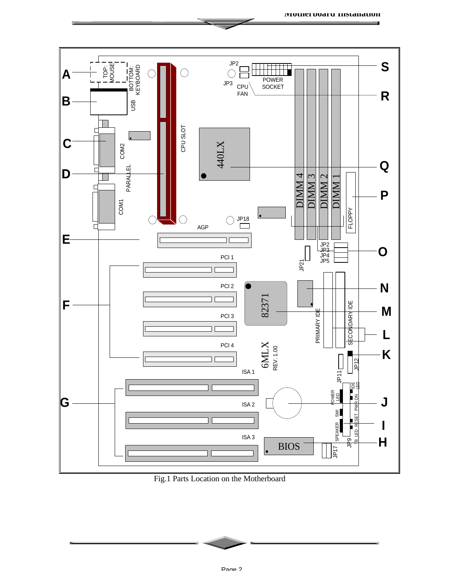

**Motherboard Installation**

Fig.1 Parts Location on the Motherboard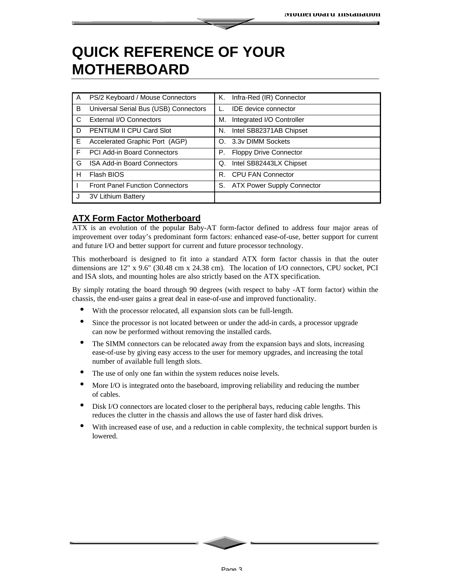### **QUICK REFERENCE OF YOUR MOTHERBOARD**

| $\mathsf{A}$ | PS/2 Keyboard / Mouse Connectors       | Κ.          | Infra-Red (IR) Connector      |
|--------------|----------------------------------------|-------------|-------------------------------|
| B            | Universal Serial Bus (USB) Connectors  |             | <b>IDE</b> device connector   |
| C.           | External I/O Connectors                | М.          | Integrated I/O Controller     |
| D            | <b>PENTIUM II CPU Card Slot</b>        | N.          | Intel SB82371AB Chipset       |
| E            | Accelerated Graphic Port (AGP)         | $O_{\odot}$ | 3.3v DIMM Sockets             |
| F            | PCI Add-in Board Connectors            | Р.          | <b>Floppy Drive Connector</b> |
| G            | <b>ISA Add-in Board Connectors</b>     | Q.          | Intel SB82443LX Chipset       |
| н            | Flash BIOS                             | R.          | <b>CPU FAN Connector</b>      |
|              | <b>Front Panel Function Connectors</b> |             | S. ATX Power Supply Connector |
|              | 3V Lithium Battery                     |             |                               |

#### **ATX Form Factor Motherboard**

ATX is an evolution of the popular Baby-AT form-factor defined to address four major areas of improvement over today's predominant form factors: enhanced ease-of-use, better support for current and future I/O and better support for current and future processor technology.

This motherboard is designed to fit into a standard ATX form factor chassis in that the outer dimensions are 12" x 9.6" (30.48 cm x 24.38 cm). The location of I/O connectors, CPU socket, PCI and ISA slots, and mounting holes are also strictly based on the ATX specification.

By simply rotating the board through 90 degrees (with respect to baby -AT form factor) within the chassis, the end-user gains a great deal in ease-of-use and improved functionality.

- With the processor relocated, all expansion slots can be full-length.
- Since the processor is not located between or under the add-in cards, a processor upgrade can now be performed without removing the installed cards.
- The SIMM connectors can be relocated away from the expansion bays and slots, increasing ease-of-use by giving easy access to the user for memory upgrades, and increasing the total number of available full length slots.
- The use of only one fan within the system reduces noise levels.
- More I/O is integrated onto the baseboard, improving reliability and reducing the number of cables.
- Disk I/O connectors are located closer to the peripheral bays, reducing cable lengths. This reduces the clutter in the chassis and allows the use of faster hard disk drives.
- With increased ease of use, and a reduction in cable complexity, the technical support burden is lowered.

Page 3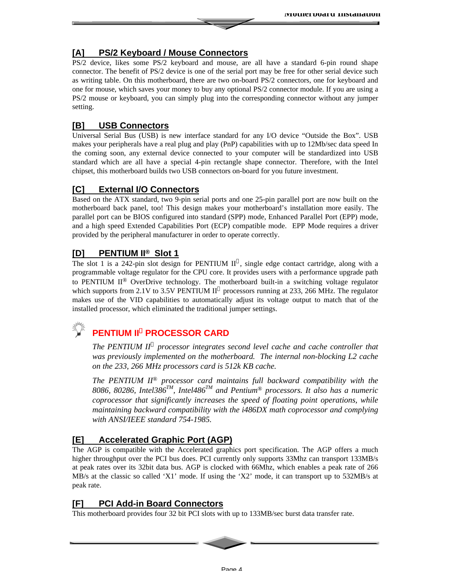#### **[A] PS/2 Keyboard / Mouse Connectors**

PS/2 device, likes some PS/2 keyboard and mouse, are all have a standard 6-pin round shape connector. The benefit of PS/2 device is one of the serial port may be free for other serial device such as writing table. On this motherboard, there are two on-board PS/2 connectors, one for keyboard and one for mouse, which saves your money to buy any optional PS/2 connector module. If you are using a PS/2 mouse or keyboard, you can simply plug into the corresponding connector without any jumper setting.

#### **[B] USB Connectors**

Universal Serial Bus (USB) is new interface standard for any I/O device "Outside the Box". USB makes your peripherals have a real plug and play (PnP) capabilities with up to 12Mb/sec data speed In the coming soon, any external device connected to your computer will be standardized into USB standard which are all have a special 4-pin rectangle shape connector. Therefore, with the Intel chipset, this motherboard builds two USB connectors on-board for you future investment.

#### **[C] External I/O Connectors**

Based on the ATX standard, two 9-pin serial ports and one 25-pin parallel port are now built on the motherboard back panel, too! This design makes your motherboard's installation more easily. The parallel port can be BIOS configured into standard (SPP) mode, Enhanced Parallel Port (EPP) mode, and a high speed Extended Capabilities Port (ECP) compatible mode. EPP Mode requires a driver provided by the peripheral manufacturer in order to operate correctly.

#### **[D] PENTIUM II® Slot 1**

The slot 1 is a 242-pin slot design for PENTIUM  $II^{\circledast}$ , single edge contact cartridge, along with a programmable voltage regulator for the CPU core. It provides users with a performance upgrade path to PENTIUM  $II^{\circledR}$  OverDrive technology. The motherboard built-in a switching voltage regulator which supports from 2.1V to 3.5V PENTIUM  $II^{\circledast}$  processors running at 233, 266 MHz. The regulator makes use of the VID capabilities to automatically adjust its voltage output to match that of the installed processor, which eliminated the traditional jumper settings.

### **PENTIUM II® PROCESSOR CARD**

*The PENTIUM II*<sup> $\hat{O}$ </sup> processor integrates second level cache and cache controller that *was previously implemented on the motherboard. The internal non-blocking L2 cache on the 233, 266 MHz processors card is 512k KB cache.*

*The PENTIUM II® processor card maintains full backward compatibility with the 8086, 80286, Intel386TM, Intel486TM and Pentium® processors. It also has a numeric coprocessor that significantly increases the speed of floating point operations, while maintaining backward compatibility with the i486DX math coprocessor and complying with ANSI/IEEE standard 754-1985.*

#### **[E] Accelerated Graphic Port (AGP)**

The AGP is compatible with the Accelerated graphics port specification. The AGP offers a much higher throughput over the PCI bus does. PCI currently only supports 33Mhz can transport 133MB/s at peak rates over its 32bit data bus. AGP is clocked with 66Mhz, which enables a peak rate of 266 MB/s at the classic so called 'X1' mode. If using the 'X2' mode, it can transport up to 532MB/s at peak rate.

#### **[F] PCI Add-in Board Connectors**

This motherboard provides four 32 bit PCI slots with up to 133MB/sec burst data transfer rate.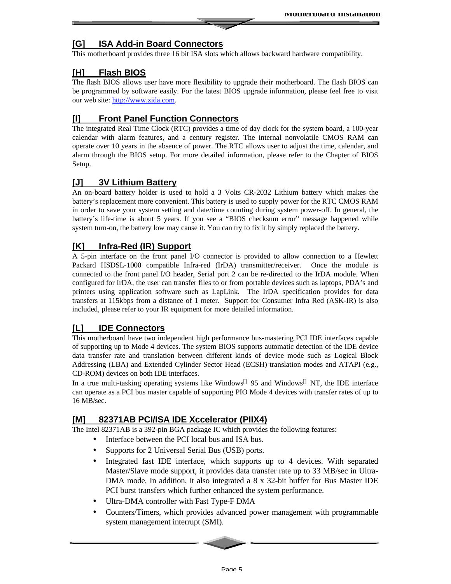#### **[G] ISA Add-in Board Connectors**

This motherboard provides three 16 bit ISA slots which allows backward hardware compatibility.

#### **[H] Flash BIOS**

The flash BIOS allows user have more flexibility to upgrade their motherboard. The flash BIOS can be programmed by software easily. For the latest BIOS upgrade information, please feel free to visit our web site: http://www.zida.com.

#### **[I] Front Panel Function Connectors**

The integrated Real Time Clock (RTC) provides a time of day clock for the system board, a 100-year calendar with alarm features, and a century register. The internal nonvolatile CMOS RAM can operate over 10 years in the absence of power. The RTC allows user to adjust the time, calendar, and alarm through the BIOS setup. For more detailed information, please refer to the Chapter of BIOS Setup.

#### **[J] 3V Lithium Battery**

An on-board battery holder is used to hold a 3 Volts CR-2032 Lithium battery which makes the battery's replacement more convenient. This battery is used to supply power for the RTC CMOS RAM in order to save your system setting and date/time counting during system power-off. In general, the battery's life-time is about 5 years. If you see a "BIOS checksum error" message happened while system turn-on, the battery low may cause it. You can try to fix it by simply replaced the battery.

#### **[K] Infra-Red (IR) Support**

A 5-pin interface on the front panel I/O connector is provided to allow connection to a Hewlett Packard HSDSL-1000 compatible Infra-red (IrDA) transmitter/receiver. Once the module is connected to the front panel I/O header, Serial port 2 can be re-directed to the IrDA module. When configured for IrDA, the user can transfer files to or from portable devices such as laptops, PDA's and printers using application software such as LapLink. The IrDA specification provides for data transfers at 115kbps from a distance of 1 meter. Support for Consumer Infra Red (ASK-IR) is also included, please refer to your IR equipment for more detailed information.

#### **[L] IDE Connectors**

This motherboard have two independent high performance bus-mastering PCI IDE interfaces capable of supporting up to Mode 4 devices. The system BIOS supports automatic detection of the IDE device data transfer rate and translation between different kinds of device mode such as Logical Block Addressing (LBA) and Extended Cylinder Sector Head (ECSH) translation modes and ATAPI (e.g., CD-ROM) devices on both IDE interfaces.

In a true multi-tasking operating systems like Windows  $\mathcal{F}$  95 and Windows  $\mathcal{F}$  NT, the IDE interface can operate as a PCI bus master capable of supporting PIO Mode 4 devices with transfer rates of up to 16 MB/sec.

#### **[M] 82371AB PCI/ISA IDE Xccelerator (PIIX4)**

The Intel 82371AB is a 392-pin BGA package IC which provides the following features:

- Interface between the PCI local bus and ISA bus.
- Supports for 2 Universal Serial Bus (USB) ports.
- Integrated fast IDE interface, which supports up to 4 devices. With separated Master/Slave mode support, it provides data transfer rate up to 33 MB/sec in Ultra-DMA mode. In addition, it also integrated a 8 x 32-bit buffer for Bus Master IDE PCI burst transfers which further enhanced the system performance.
- Ultra-DMA controller with Fast Type-F DMA
- Counters/Timers, which provides advanced power management with programmable system management interrupt (SMI).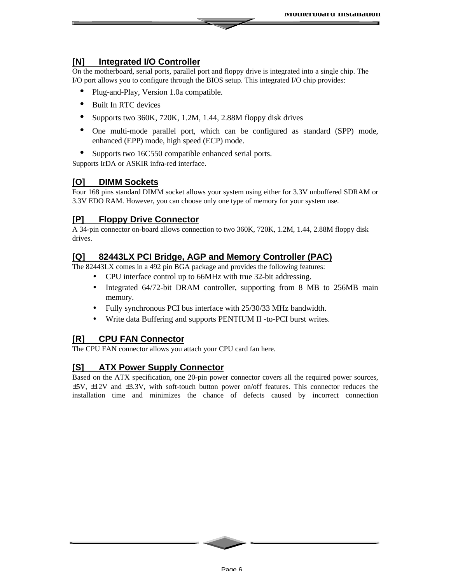#### **[N] Integrated I/O Controller**

On the motherboard, serial ports, parallel port and floppy drive is integrated into a single chip. The I/O port allows you to configure through the BIOS setup. This integrated I/O chip provides:

- Plug-and-Play, Version 1.0a compatible.
- Built In RTC devices
- Supports two 360K, 720K, 1.2M, 1.44, 2.88M floppy disk drives
- One multi-mode parallel port, which can be configured as standard (SPP) mode, enhanced (EPP) mode, high speed (ECP) mode.
- Supports two 16C550 compatible enhanced serial ports.

Supports IrDA or ASKIR infra-red interface.

#### **[O] DIMM Sockets**

Four 168 pins standard DIMM socket allows your system using either for 3.3V unbuffered SDRAM or 3.3V EDO RAM. However, you can choose only one type of memory for your system use.

#### **[P] Floppy Drive Connector**

A 34-pin connector on-board allows connection to two 360K, 720K, 1.2M, 1.44, 2.88M floppy disk drives.

#### **[Q] 82443LX PCI Bridge, AGP and Memory Controller (PAC)**

The 82443LX comes in a 492 pin BGA package and provides the following features:

- CPU interface control up to 66MHz with true 32-bit addressing.
- Integrated 64/72-bit DRAM controller, supporting from 8 MB to 256MB main memory.
- Fully synchronous PCI bus interface with 25/30/33 MHz bandwidth.
- Write data Buffering and supports PENTIUM II -to-PCI burst writes.

#### **[R] CPU FAN Connector**

The CPU FAN connector allows you attach your CPU card fan here.

#### **[S] ATX Power Supply Connector**

Based on the ATX specification, one 20-pin power connector covers all the required power sources, ±5V, ±12V and ±3.3V, with soft-touch button power on/off features. This connector reduces the installation time and minimizes the chance of defects caused by incorrect connection

Page 6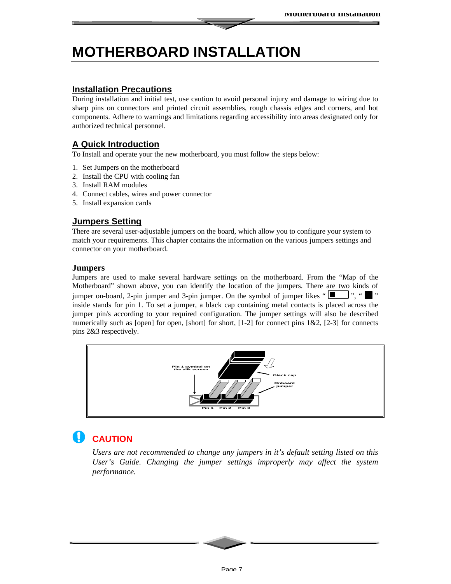# **MOTHERBOARD INSTALLATION**

#### **Installation Precautions**

During installation and initial test, use caution to avoid personal injury and damage to wiring due to sharp pins on connectors and printed circuit assemblies, rough chassis edges and corners, and hot components. Adhere to warnings and limitations regarding accessibility into areas designated only for authorized technical personnel.

#### **A Quick Introduction**

To Install and operate your the new motherboard, you must follow the steps below:

- 1. Set Jumpers on the motherboard
- 2. Install the CPU with cooling fan
- 3. Install RAM modules
- 4. Connect cables, wires and power connector
- 5. Install expansion cards

#### **Jumpers Setting**

There are several user-adjustable jumpers on the board, which allow you to configure your system to match your requirements. This chapter contains the information on the various jumpers settings and connector on your motherboard.

#### **Jumpers**

Jumpers are used to make several hardware settings on the motherboard. From the "Map of the Motherboard" shown above, you can identify the location of the jumpers. There are two kinds of jumper on-board, 2-pin jumper and 3-pin jumper. On the symbol of jumper likes " $\Box$ ", " $\Box$ " inside stands for pin 1. To set a jumper, a black cap containing metal contacts is placed across the jumper pin/s according to your required configuration. The jumper settings will also be described numerically such as [open] for open, [short] for short,  $[1-2]$  for connect pins  $1\&2$ ,  $[2-3]$  for connects pins 2&3 respectively.



### **CAUTION**

*Users are not recommended to change any jumpers in it's default setting listed on this User's Guide. Changing the jumper settings improperly may affect the system performance.*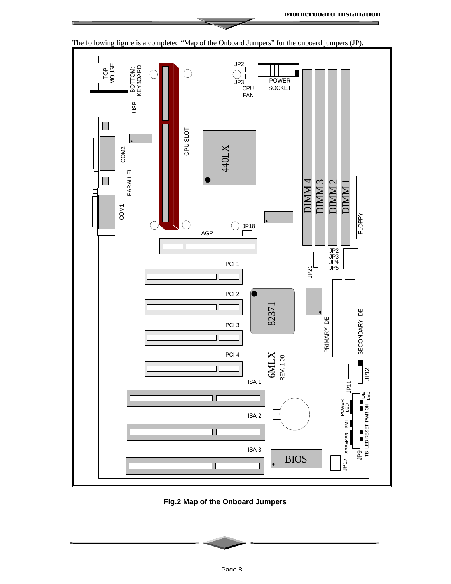

**Fig.2 Map of the Onboard Jumpers**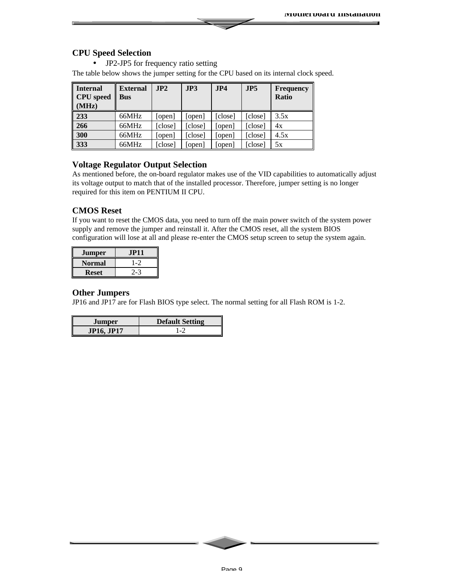#### **CPU Speed Selection**

• JP2-JP5 for frequency ratio setting

The table below shows the jumper setting for the CPU based on its internal clock speed.

| <b>Internal</b><br><b>CPU</b> speed<br>(MHz) | <b>External</b><br><b>Bus</b> | JP2     | JP3     | JP4     | JPS     | Frequency<br><b>Ratio</b> |
|----------------------------------------------|-------------------------------|---------|---------|---------|---------|---------------------------|
| 233                                          | 66MHz                         | [open]  | [open]  | [close] | [close] | 3.5x                      |
| 266                                          | 66MHz                         | [close] | [close] | [open]  | [close] | 4x                        |
| 300                                          | 66MHz                         | [open]  | [close] | [open]  | [close] | 4.5x                      |
| 333                                          | 66MHz                         | [close] | [open]  | [open]  | [close] | 5x                        |

#### **Voltage Regulator Output Selection**

As mentioned before, the on-board regulator makes use of the VID capabilities to automatically adjust its voltage output to match that of the installed processor. Therefore, jumper setting is no longer required for this item on PENTIUM II CPU.

#### **CMOS Reset**

If you want to reset the CMOS data, you need to turn off the main power switch of the system power supply and remove the jumper and reinstall it. After the CMOS reset, all the system BIOS configuration will lose at all and please re-enter the CMOS setup screen to setup the system again.

| <b>Jumper</b> | JP11.   |
|---------------|---------|
| Normal        | $1 - 2$ |
| Reset         |         |

#### **Other Jumpers**

JP16 and JP17 are for Flash BIOS type select. The normal setting for all Flash ROM is 1-2.

| Jumper            | <b>Default Setting</b>   |
|-------------------|--------------------------|
| <b>JP16, JP17</b> | $\overline{\phantom{0}}$ |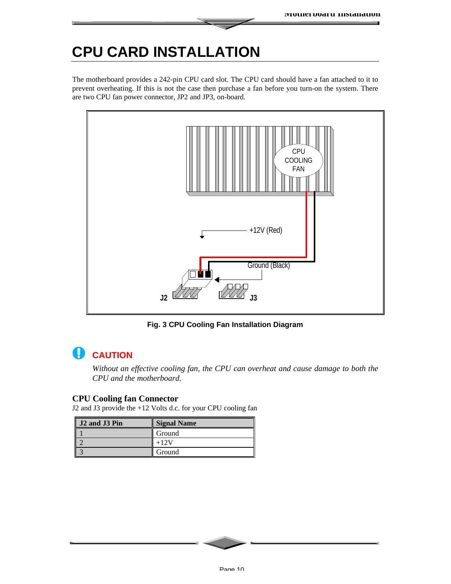# **CPU CARD INSTALLATION**

The motherboard provides a 242-pin CPU card slot. The CPU card should have a fan attached to it to prevent overheating. If this is not the case then purchase a fan before you turn-on the system. There are two CPU fan power connector, JP2 and JP3, on-board.



**Fig. 3 CPU Cooling Fan Installation Diagram**

#### **CAUTION** W

*Without an effective cooling fan, the CPU can overheat and cause damage to both the CPU and the motherboard.*

#### **CPU Cooling fan Connector**

J2 and J3 provide the +12 Volts d.c. for your CPU cooling fan

| J2 and J3 Pin | <b>Signal Name</b> |
|---------------|--------------------|
|               | Ground             |
|               |                    |
|               | Ground             |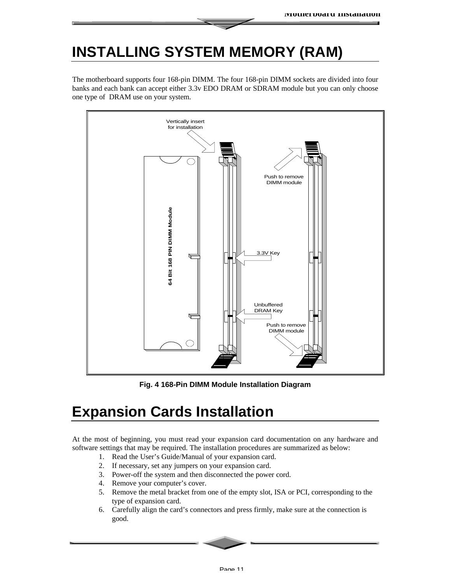## **INSTALLING SYSTEM MEMORY (RAM)**

The motherboard supports four 168-pin DIMM. The four 168-pin DIMM sockets are divided into four banks and each bank can accept either 3.3v EDO DRAM or SDRAM module but you can only choose one type of DRAM use on your system.



**Fig. 4 168-Pin DIMM Module Installation Diagram**

# **Expansion Cards Installation**

At the most of beginning, you must read your expansion card documentation on any hardware and software settings that may be required. The installation procedures are summarized as below:

- 1. Read the User's Guide/Manual of your expansion card.
- 2. If necessary, set any jumpers on your expansion card.
- 3. Power-off the system and then disconnected the power cord.
- 4. Remove your computer's cover.
- 5. Remove the metal bracket from one of the empty slot, ISA or PCI, corresponding to the type of expansion card.
- 6. Carefully align the card's connectors and press firmly, make sure at the connection is good.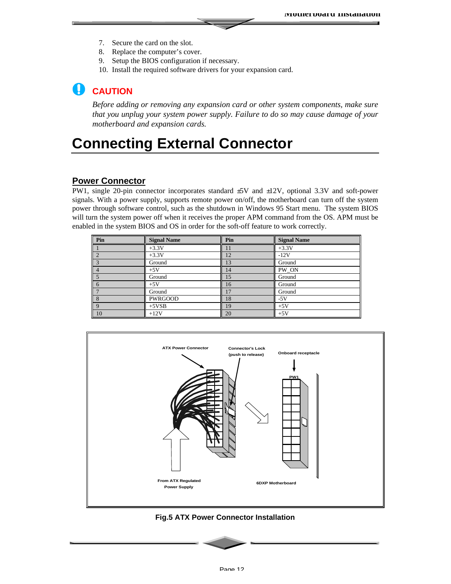- 7. Secure the card on the slot.
- 8. Replace the computer's cover.
- 9. Setup the BIOS configuration if necessary.
- 10. Install the required software drivers for your expansion card.

### **CAUTION**

*Before adding or removing any expansion card or other system components, make sure that you unplug your system power supply. Failure to do so may cause damage of your motherboard and expansion cards.*

### **Connecting External Connector**

#### **Power Connector**

PW1, single 20-pin connector incorporates standard ±5V and ±12V, optional 3.3V and soft-power signals. With a power supply, supports remote power on/off, the motherboard can turn off the system power through software control, such as the shutdown in Windows 95 Start menu. The system BIOS will turn the system power off when it receives the proper APM command from the OS. APM must be enabled in the system BIOS and OS in order for the soft-off feature to work correctly.

| Pin            | <b>Signal Name</b> | Pin | <b>Signal Name</b> |
|----------------|--------------------|-----|--------------------|
|                | $+3.3V$            | 11  | $+3.3V$            |
|                | $+3.3V$            | 12  | $-12V$             |
|                | Ground             | 13  | Ground             |
|                | $+5V$              | 14  | PW_ON              |
|                | Ground             | 15  | Ground             |
| $\mathbf{b}$   | $+5V$              | 16  | Ground             |
|                | Ground             | 17  | Ground             |
| 8              | <b>PWRGOOD</b>     | 18  | $-5V$              |
|                | $+5VSB$            | 19  | $+5V$              |
| $\frac{9}{10}$ | $+12V$             | 20  | $+5V$              |



**Fig.5 ATX Power Connector Installation**

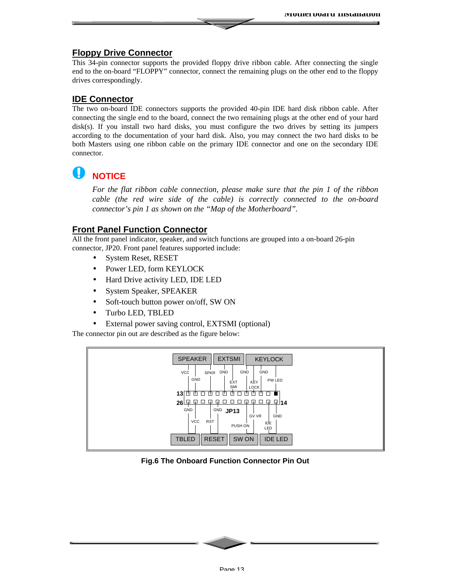#### **Floppy Drive Connector**

This 34-pin connector supports the provided floppy drive ribbon cable. After connecting the single end to the on-board "FLOPPY" connector, connect the remaining plugs on the other end to the floppy drives correspondingly.

#### **IDE Connector**

The two on-board IDE connectors supports the provided 40-pin IDE hard disk ribbon cable. After connecting the single end to the board, connect the two remaining plugs at the other end of your hard disk(s). If you install two hard disks, you must configure the two drives by setting its jumpers according to the documentation of your hard disk. Also, you may connect the two hard disks to be both Masters using one ribbon cable on the primary IDE connector and one on the secondary IDE connector.

#### U **NOTICE**

*For the flat ribbon cable connection, please make sure that the pin 1 of the ribbon cable (the red wire side of the cable) is correctly connected to the on-board connector's pin 1 as shown on the "Map of the Motherboard".*

#### **Front Panel Function Connector**

All the front panel indicator, speaker, and switch functions are grouped into a on-board 26-pin connector, JP20. Front panel features supported include:

- System Reset, RESET
- Power LED, form KEYLOCK
- Hard Drive activity LED, IDE LED
- System Speaker, SPEAKER
- Soft-touch button power on/off, SW ON
- Turbo LED, TBLED
- External power saving control, EXTSMI (optional)

The connector pin out are described as the figure below:



#### **Fig.6 The Onboard Function Connector Pin Out**

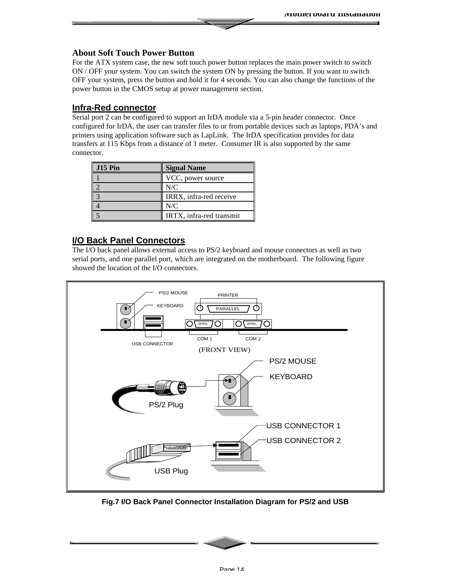#### **About Soft Touch Power Button**

For the ATX system case, the new soft touch power button replaces the main power switch to switch ON / OFF your system. You can switch the system ON by pressing the button. If you want to switch OFF your system, press the button and hold it for 4 seconds. You can also change the functions of the power button in the CMOS setup at power management section.

#### **Infra-Red connector**

Serial port 2 can be configured to support an IrDA module via a 5-pin header connector. Once configured for IrDA, the user can transfer files to or from portable devices such as laptops, PDA's and printers using application software such as LapLink. The IrDA specification provides for data transfers at 115 Kbps from a distance of 1 meter. Consumer IR is also supported by the same connector.

| J15 Pin | <b>Signal Name</b>       |
|---------|--------------------------|
|         | VCC, power source        |
|         | N/C                      |
|         | IRRX, infra-red receive  |
|         | N/C                      |
|         | IRTX, infra-red transmit |

#### **I/O Back Panel Connectors**

The I/O back panel allows external access to PS/2 keyboard and mouse connectors as well as two serial ports, and one parallel port, which are integrated on the motherboard. The following figure showed the location of the I/O connectors.



**Fig.7 I/O Back Panel Connector Installation Diagram for PS/2 and USB**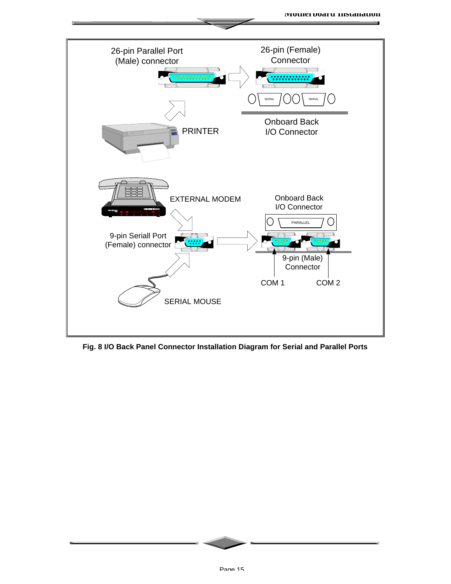

**Fig. 8 I/O Back Panel Connector Installation Diagram for Serial and Parallel Ports**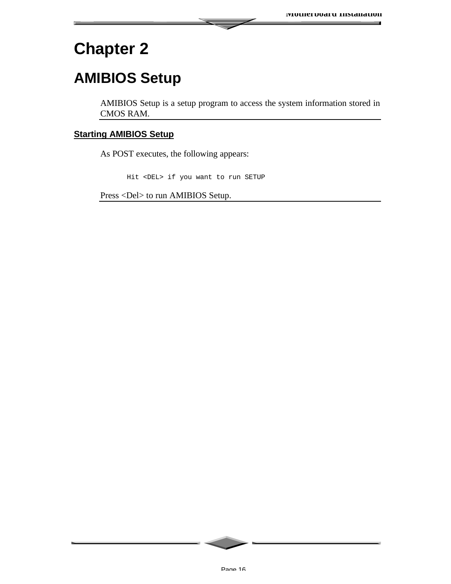# **Chapter 2**

# **AMIBIOS Setup**

AMIBIOS Setup is a setup program to access the system information stored in CMOS RAM.

#### **Starting AMIBIOS Setup**

As POST executes, the following appears:

Hit <DEL> if you want to run SETUP

Press <Del> to run AMIBIOS Setup.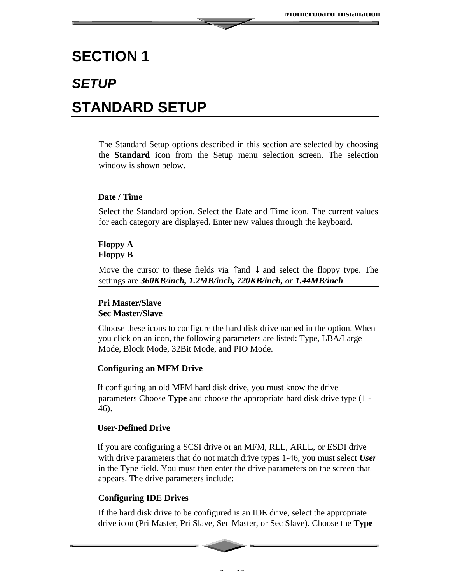### **SECTION 1**

# *SETUP*

### **STANDARD SETUP**

The Standard Setup options described in this section are selected by choosing the **Standard** icon from the Setup menu selection screen. The selection window is shown below.

#### **Date / Time**

Select the Standard option. Select the Date and Time icon. The current values for each category are displayed. Enter new values through the keyboard.

#### **Floppy A Floppy B**

Move the cursor to these fields via  $\hat{\tau}$  and  $\hat{\tau}$  and select the floppy type. The settings are *360KB/inch, 1.2MB/inch, 720KB/inch, or 1.44MB/inch.*

#### **Pri Master/Slave Sec Master/Slave**

Choose these icons to configure the hard disk drive named in the option. When you click on an icon, the following parameters are listed: Type, LBA/Large Mode, Block Mode, 32Bit Mode, and PIO Mode.

#### **Configuring an MFM Drive**

If configuring an old MFM hard disk drive, you must know the drive parameters Choose **Type** and choose the appropriate hard disk drive type (1 - 46).

#### **User-Defined Drive**

If you are configuring a SCSI drive or an MFM, RLL, ARLL, or ESDI drive with drive parameters that do not match drive types 1-46, you must select *User* in the Type field. You must then enter the drive parameters on the screen that appears. The drive parameters include:

#### **Configuring IDE Drives**

If the hard disk drive to be configured is an IDE drive, select the appropriate drive icon (Pri Master, Pri Slave, Sec Master, or Sec Slave). Choose the **Type**

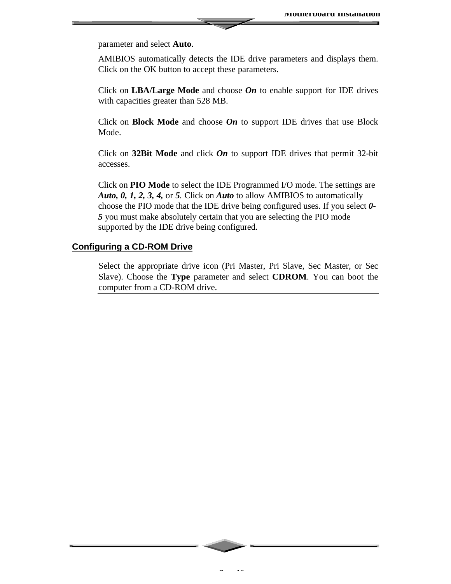parameter and select **Auto**.

AMIBIOS automatically detects the IDE drive parameters and displays them. Click on the OK button to accept these parameters.

Click on **LBA/Large Mode** and choose *On* to enable support for IDE drives with capacities greater than 528 MB.

Click on **Block Mode** and choose *On* to support IDE drives that use Block Mode.

Click on **32Bit Mode** and click *On* to support IDE drives that permit 32-bit accesses.

Click on **PIO Mode** to select the IDE Programmed I/O mode. The settings are *Auto, 0, 1, 2, 3, 4,* or *5.* Click on *Auto* to allow AMIBIOS to automatically choose the PIO mode that the IDE drive being configured uses. If you select *0- 5* you must make absolutely certain that you are selecting the PIO mode supported by the IDE drive being configured.

#### **Configuring a CD-ROM Drive**

Select the appropriate drive icon (Pri Master, Pri Slave, Sec Master, or Sec Slave). Choose the **Type** parameter and select **CDROM**. You can boot the computer from a CD-ROM drive.

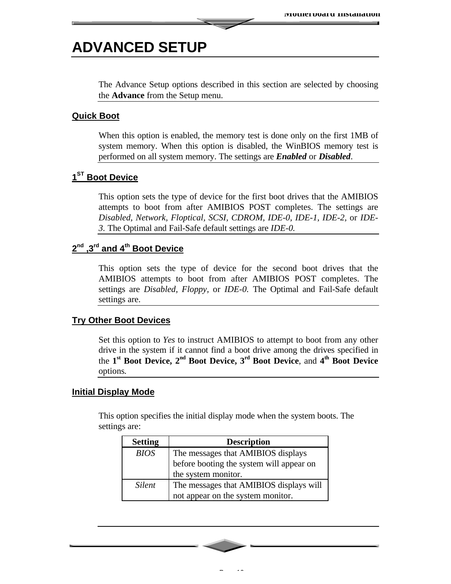### **ADVANCED SETUP**

The Advance Setup options described in this section are selected by choosing the **Advance** from the Setup menu.

#### **Quick Boot**

When this option is enabled, the memory test is done only on the first 1MB of system memory. When this option is disabled, the WinBIOS memory test is performed on all system memory. The settings are *Enabled* or *Disabled*.

#### **1 ST Boot Device**

This option sets the type of device for the first boot drives that the AMIBIOS attempts to boot from after AMIBIOS POST completes. The settings are *Disabled, Network, Floptical, SCSI, CDROM, IDE-0, IDE-1, IDE-2,* or *IDE-3.* The Optimal and Fail-Safe default settings are *IDE-0.*

#### **2 nd ,3rd and 4th Boot Device**

This option sets the type of device for the second boot drives that the AMIBIOS attempts to boot from after AMIBIOS POST completes. The settings are *Disabled, Floppy,* or *IDE-0.* The Optimal and Fail-Safe default settings are.

#### **Try Other Boot Devices**

Set this option to *Yes* to instruct AMIBIOS to attempt to boot from any other drive in the system if it cannot find a boot drive among the drives specified in the **1 st Boot Device, 2nd Boot Device, 3rd Boot Device**, and **4 th Boot Device** options*.*

#### **Initial Display Mode**

This option specifies the initial display mode when the system boots. The settings are:

| <b>Setting</b> | <b>Description</b>                       |
|----------------|------------------------------------------|
| <b>BIOS</b>    | The messages that AMIBIOS displays       |
|                | before booting the system will appear on |
|                | the system monitor.                      |
| <b>Silent</b>  | The messages that AMIBIOS displays will  |
|                | not appear on the system monitor.        |

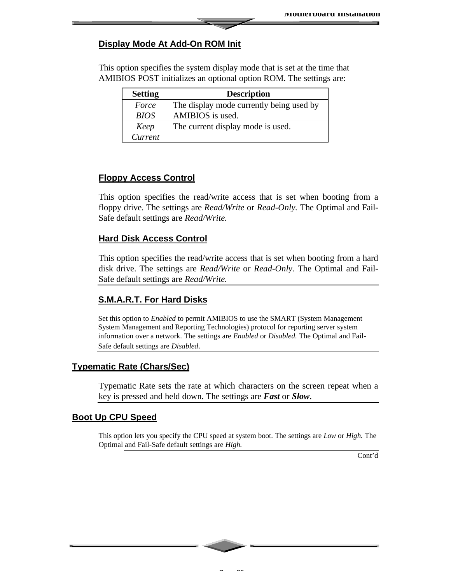#### **Display Mode At Add-On ROM Init**

This option specifies the system display mode that is set at the time that AMIBIOS POST initializes an optional option ROM. The settings are:

| <b>Setting</b> | <b>Description</b>                       |
|----------------|------------------------------------------|
| Force          | The display mode currently being used by |
| <b>BIOS</b>    | AMIBIOS is used.                         |
| Keep           | The current display mode is used.        |
| Current        |                                          |

#### **Floppy Access Control**

This option specifies the read/write access that is set when booting from a floppy drive. The settings are *Read/Write* or *Read-Only.* The Optimal and Fail-Safe default settings are *Read/Write.*

#### **Hard Disk Access Control**

This option specifies the read/write access that is set when booting from a hard disk drive. The settings are *Read/Write* or *Read-Only.* The Optimal and Fail-Safe default settings are *Read/Write.*

#### **S.M.A.R.T. For Hard Disks**

Set this option to *Enabled* to permit AMIBIOS to use the SMART (System Management System Management and Reporting Technologies) protocol for reporting server system information over a network. The settings are *Enabled* or *Disabled.* The Optimal and Fail-Safe default settings are *Disabled.*

#### **Typematic Rate (Chars/Sec)**

Typematic Rate sets the rate at which characters on the screen repeat when a key is pressed and held down. The settings are *Fast* or *Slow*.

#### **Boot Up CPU Speed**

This option lets you specify the CPU speed at system boot. The settings are *Low* or *High.* The Optimal and Fail-Safe default settings are *High.*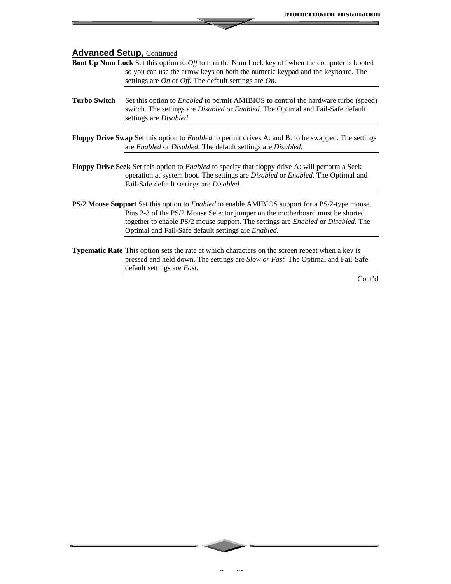- **Boot Up Num Lock** Set this option to *Off* to turn the Num Lock key off when the computer is booted so you can use the arrow keys on both the numeric keypad and the keyboard. The settings are *On* or *Off.* The default settings are *On.*
- **Turbo Switch** Set this option to *Enabled* to permit AMIBIOS to control the hardware turbo (speed) switch. The settings are *Disabled* or *Enabled*. The Optimal and Fail-Safe default settings are *Disabled.*
- **Floppy Drive Swap** Set this option to *Enabled* to permit drives A: and B: to be swapped. The settings are *Enabled* or *Disabled.* The default settings are *Disabled.*
- **Floppy Drive Seek** Set this option to *Enabled* to specify that floppy drive A: will perform a Seek operation at system boot. The settings are *Disabled* or *Enabled.* The Optimal and Fail-Safe default settings are *Disabled*.
- **PS/2 Mouse Support** Set this option to *Enabled* to enable AMIBIOS support for a PS/2-type mouse. Pins 2-3 of the PS/2 Mouse Selector jumper on the motherboard must be shorted together to enable PS/2 mouse support. The settings are *Enabled* or *Disabled.* The Optimal and Fail-Safe default settings are *Enabled.*
- **Typematic Rate** This option sets the rate at which characters on the screen repeat when a key is pressed and held down. The settings are *Slow or Fast.* The Optimal and Fail-Safe default settings are *Fast.*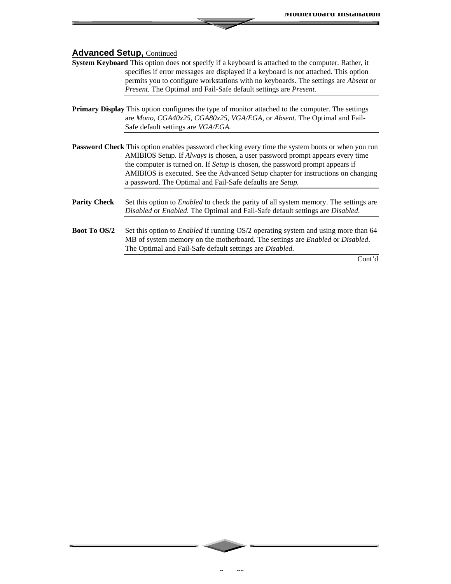- **System Keyboard** This option does not specify if a keyboard is attached to the computer. Rather, it specifies if error messages are displayed if a keyboard is not attached. This option permits you to configure workstations with no keyboards. The settings are *Absent* or *Present.* The Optimal and Fail-Safe default settings are *Present.*
- **Primary Display** This option configures the type of monitor attached to the computer. The settings are *Mono, CGA40x25, CGA80x25, VGA/EGA,* or *Absent*. The Optimal and Fail-Safe default settings are *VGA/EGA.*
- **Password Check** This option enables password checking every time the system boots or when you run AMIBIOS Setup. If *Always* is chosen, a user password prompt appears every time the computer is turned on. If *Setup* is chosen, the password prompt appears if AMIBIOS is executed. See the Advanced Setup chapter for instructions on changing a password. The Optimal and Fail-Safe defaults are *Setup.*
- **Parity Check** Set this option to *Enabled* to check the parity of all system memory. The settings are *Disabled* or *Enabled*. The Optimal and Fail-Safe default settings are *Disabled*.
- **Boot To OS/2** Set this option to *Enabled* if running OS/2 operating system and using more than 64 MB of system memory on the motherboard. The settings are *Enabled* or *Disabled*. The Optimal and Fail-Safe default settings are *Disabled.*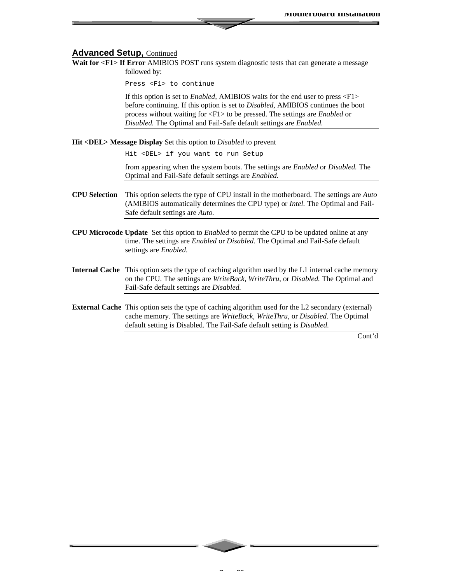Wait for <F1> If Error AMIBIOS POST runs system diagnostic tests that can generate a message followed by:

Press <F1> to continue

If this option is set to *Enabled,* AMIBIOS waits for the end user to press <F1> before continuing. If this option is set to *Disabled,* AMIBIOS continues the boot process without waiting for <F1> to be pressed. The settings are *Enabled* or *Disabled.* The Optimal and Fail-Safe default settings are *Enabled.*

**Hit <DEL> Message Display** Set this option to *Disabled* to prevent

Hit <DEL> if you want to run Setup

from appearing when the system boots. The settings are *Enabled* or *Disabled.* The Optimal and Fail-Safe default settings are *Enabled.*

- **CPU Selection** This option selects the type of CPU install in the motherboard. The settings are *Auto* (AMIBIOS automatically determines the CPU type) or *Intel.* The Optimal and Fail-Safe default settings are *Auto.*
- **CPU Microcode Update** Set this option to *Enabled* to permit the CPU to be updated online at any time. The settings are *Enabled* or *Disabled.* The Optimal and Fail-Safe default settings are *Enabled.*
- **Internal Cache** This option sets the type of caching algorithm used by the L1 internal cache memory on the CPU. The settings are *WriteBack, WriteThru,* or *Disabled.* The Optimal and Fail-Safe default settings are *Disabled.*
- **External Cache** This option sets the type of caching algorithm used for the L2 secondary (external) cache memory. The settings are *WriteBack, WriteThru,* or *Disabled.* The Optimal default setting is Disabled. The Fail-Safe default setting is *Disabled.*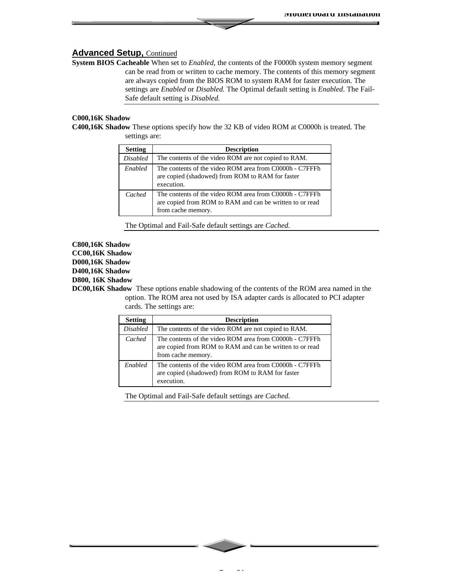**System BIOS Cacheable** When set to *Enabled,* the contents of the F0000h system memory segment can be read from or written to cache memory. The contents of this memory segment are always copied from the BIOS ROM to system RAM for faster execution. The settings are *Enabled* or *Disabled.* The Optimal default setting is *Enabled*. The Fail-Safe default setting is *Disabled.*

#### **C000,16K Shadow**

**C400,16K Shadow** These options specify how the 32 KB of video ROM at C0000h is treated. The settings are:

| <b>Setting</b>  | <b>Description</b>                                                                                                                        |
|-----------------|-------------------------------------------------------------------------------------------------------------------------------------------|
| <b>Disabled</b> | The contents of the video ROM are not copied to RAM.                                                                                      |
| Enabled         | The contents of the video ROM area from C0000h - C7FFFh<br>are copied (shadowed) from ROM to RAM for faster<br>execution.                 |
| Cached          | The contents of the video ROM area from C0000h - C7FFFh<br>are copied from ROM to RAM and can be written to or read<br>from cache memory. |

The Optimal and Fail-Safe default settings are *Cached.*

#### **C800,16K Shadow CC00,16K Shadow D000,16K Shadow D400,16K Shadow D800, 16K Shadow**

**DC00,16K Shadow** These options enable shadowing of the contents of the ROM area named in the option. The ROM area not used by ISA adapter cards is allocated to PCI adapter cards. The settings are:

| <b>Setting</b>  | <b>Description</b>                                                                                                                        |
|-----------------|-------------------------------------------------------------------------------------------------------------------------------------------|
| <b>Disabled</b> | The contents of the video ROM are not copied to RAM.                                                                                      |
| Cached          | The contents of the video ROM area from C0000h - C7FFFh<br>are copied from ROM to RAM and can be written to or read<br>from cache memory. |
| Enabled         | The contents of the video ROM area from C0000h - C7FFFh<br>are copied (shadowed) from ROM to RAM for faster<br>execution.                 |

The Optimal and Fail-Safe default settings are *Cached.*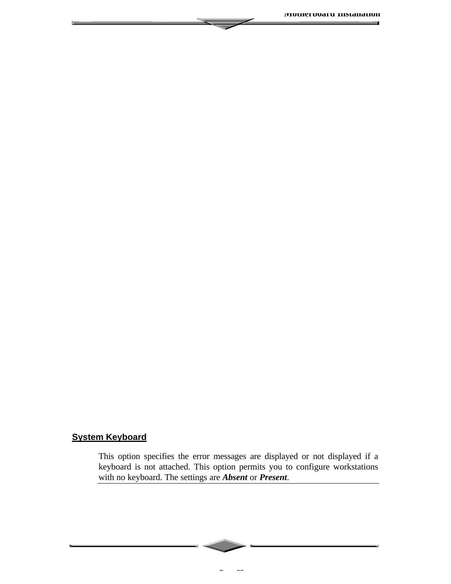#### **System Keyboard**

This option specifies the error messages are displayed or not displayed if a keyboard is not attached. This option permits you to configure workstations with no keyboard. The settings are *Absent* or *Present*.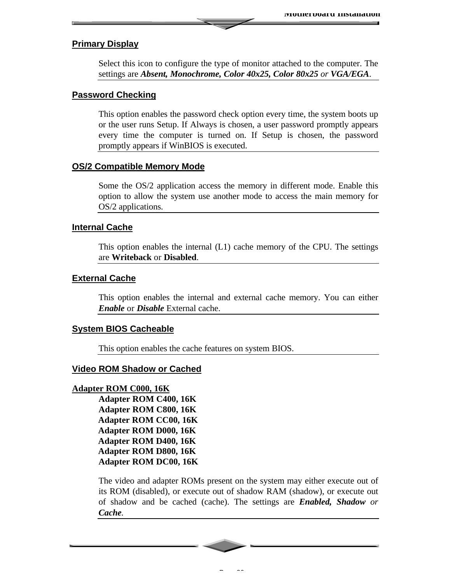#### **Primary Display**

Select this icon to configure the type of monitor attached to the computer. The settings are *Absent, Monochrome, Color 40x25, Color 80x25 or VGA/EGA*.

#### **Password Checking**

This option enables the password check option every time, the system boots up or the user runs Setup. If Always is chosen, a user password promptly appears every time the computer is turned on. If Setup is chosen, the password promptly appears if WinBIOS is executed.

#### **OS/2 Compatible Memory Mode**

Some the OS/2 application access the memory in different mode. Enable this option to allow the system use another mode to access the main memory for OS/2 applications.

#### **Internal Cache**

This option enables the internal (L1) cache memory of the CPU. The settings are **Writeback** or **Disabled**.

#### **External Cache**

This option enables the internal and external cache memory. You can either *Enable* or *Disable* External cache.

#### **System BIOS Cacheable**

This option enables the cache features on system BIOS.

#### **Video ROM Shadow or Cached**

#### **Adapter ROM C000, 16K**

**Adapter ROM C400, 16K Adapter ROM C800, 16K Adapter ROM CC00, 16K Adapter ROM D000, 16K Adapter ROM D400, 16K Adapter ROM D800, 16K Adapter ROM DC00, 16K**

The video and adapter ROMs present on the system may either execute out of its ROM (disabled), or execute out of shadow RAM (shadow), or execute out of shadow and be cached (cache). The settings are *Enabled, Shadow or Cache.*

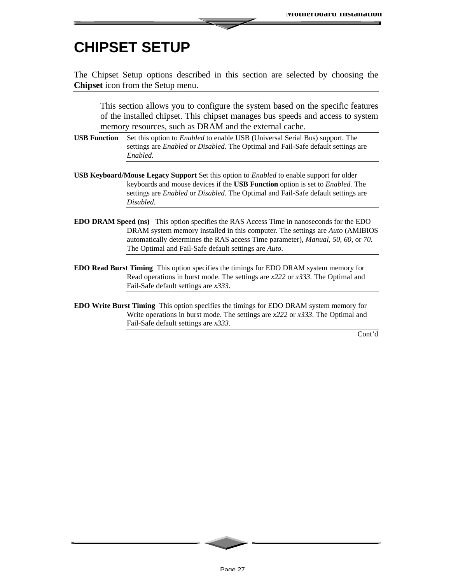### **CHIPSET SETUP**

The Chipset Setup options described in this section are selected by choosing the **Chipset** icon from the Setup menu.

This section allows you to configure the system based on the specific features of the installed chipset. This chipset manages bus speeds and access to system memory resources, such as DRAM and the external cache.

**USB Function** Set this option to *Enabled* to enable USB (Universal Serial Bus) support. The settings are *Enabled* or *Disabled.* The Optimal and Fail-Safe default settings are *Enabled.*

- **USB Keyboard/Mouse Legacy Support** Set this option to *Enabled* to enable support for older keyboards and mouse devices if the **USB Function** option is set to *Enabled.* The settings are *Enabled* or *Disabled.* The Optimal and Fail-Safe default settings are *Disabled.*
- **EDO DRAM Speed (ns)** This option specifies the RAS Access Time in nanoseconds for the EDO DRAM system memory installed in this computer. The settings are *Auto* (AMIBIOS automatically determines the RAS access Time parameter), *Manual, 50, 60,* or *70.* The Optimal and Fail-Safe default settings are *Auto.*
- **EDO Read Burst Timing** This option specifies the timings for EDO DRAM system memory for Read operations in burst mode. The settings are *x222* or *x333*. The Optimal and Fail-Safe default settings are *x333.*
- **EDO Write Burst Timing** This option specifies the timings for EDO DRAM system memory for Write operations in burst mode. The settings are *x222* or *x333*. The Optimal and Fail-Safe default settings are *x333.*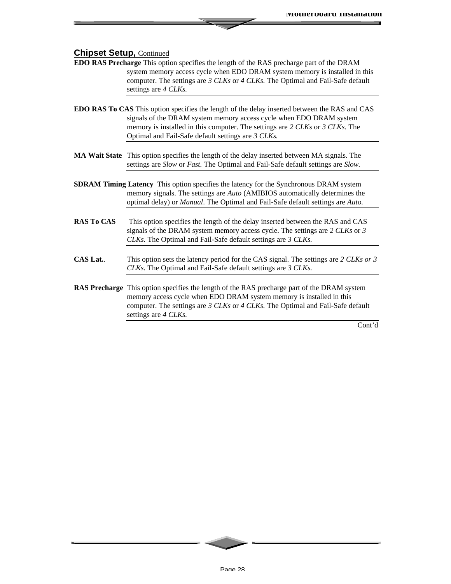- **EDO RAS Precharge** This option specifies the length of the RAS precharge part of the DRAM system memory access cycle when EDO DRAM system memory is installed in this computer. The settings are *3 CLKs* or *4 CLKs.* The Optimal and Fail-Safe default settings are *4 CLKs.*
- **EDO RAS To CAS** This option specifies the length of the delay inserted between the RAS and CAS signals of the DRAM system memory access cycle when EDO DRAM system memory is installed in this computer. The settings are *2 CLKs* or *3 CLKs.* The Optimal and Fail-Safe default settings are *3 CLKs.*
- **MA Wait State** This option specifies the length of the delay inserted between MA signals. The settings are *Slow* or *Fast.* The Optimal and Fail-Safe default settings are *Slow.*
- **SDRAM Timing Latency** This option specifies the latency for the Synchronous DRAM system memory signals. The settings are *Auto* (AMIBIOS automatically determines the optimal delay) or *Manual*. The Optimal and Fail-Safe default settings are *Auto.*
- **RAS To CAS** This option specifies the length of the delay inserted between the RAS and CAS signals of the DRAM system memory access cycle. The settings are *2 CLKs* or *3 CLKs.* The Optimal and Fail-Safe default settings are *3 CLKs.*
- **CAS Lat.**. This option sets the latency period for the CAS signal. The settings are *2 CLKs or 3 CLKs*. The Optimal and Fail-Safe default settings are *3 CLKs.*
- **RAS Precharge** This option specifies the length of the RAS precharge part of the DRAM system memory access cycle when EDO DRAM system memory is installed in this computer. The settings are *3 CLKs* or *4 CLKs.* The Optimal and Fail-Safe default settings are *4 CLKs.*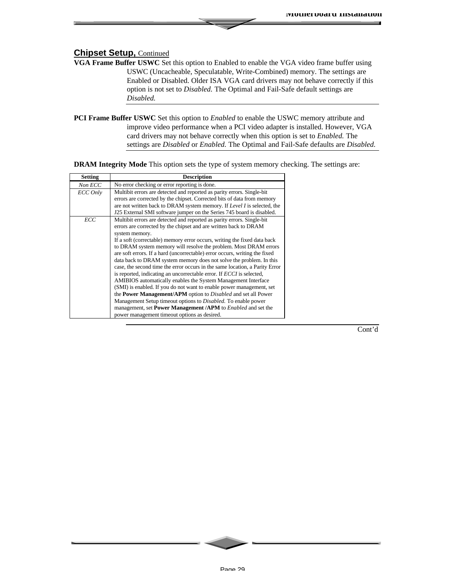- **VGA Frame Buffer USWC** Set this option to Enabled to enable the VGA video frame buffer using USWC (Uncacheable, Speculatable, Write-Combined) memory. The settings are Enabled or Disabled. Older ISA VGA card drivers may not behave correctly if this option is not set to *Disabled.* The Optimal and Fail-Safe default settings are *Disabled.*
- **PCI Frame Buffer USWC** Set this option to *Enabled* to enable the USWC memory attribute and improve video performance when a PCI video adapter is installed. However, VGA card drivers may not behave correctly when this option is set to *Enabled.* The settings are *Disabled* or *Enabled.* The Optimal and Fail-Safe defaults are *Disabled.*

**DRAM Integrity Mode** This option sets the type of system memory checking. The settings are:

| <b>Setting</b> | <b>Description</b>                                                                                                                                                                                                                                                                                                                                                                                                                                                                                                                                                                                                                                                                                                                                                                                                                                                                                                                                                                                                                               |  |
|----------------|--------------------------------------------------------------------------------------------------------------------------------------------------------------------------------------------------------------------------------------------------------------------------------------------------------------------------------------------------------------------------------------------------------------------------------------------------------------------------------------------------------------------------------------------------------------------------------------------------------------------------------------------------------------------------------------------------------------------------------------------------------------------------------------------------------------------------------------------------------------------------------------------------------------------------------------------------------------------------------------------------------------------------------------------------|--|
| Non ECC        | No error checking or error reporting is done.                                                                                                                                                                                                                                                                                                                                                                                                                                                                                                                                                                                                                                                                                                                                                                                                                                                                                                                                                                                                    |  |
| ECC Only       | Multibit errors are detected and reported as parity errors. Single-bit<br>errors are corrected by the chipset. Corrected bits of data from memory<br>are not written back to DRAM system memory. If Level I is selected, the<br>J25 External SMI software jumper on the Series 745 board is disabled.                                                                                                                                                                                                                                                                                                                                                                                                                                                                                                                                                                                                                                                                                                                                            |  |
| ECC            | Multibit errors are detected and reported as parity errors. Single-bit<br>errors are corrected by the chipset and are written back to DRAM<br>system memory.<br>If a soft (correctable) memory error occurs, writing the fixed data back<br>to DRAM system memory will resolve the problem. Most DRAM errors<br>are soft errors. If a hard (uncorrectable) error occurs, writing the fixed<br>data back to DRAM system memory does not solve the problem. In this<br>case, the second time the error occurs in the same location, a Parity Error<br>is reported, indicating an uncorrectable error. If <i>ECCI</i> is selected,<br>AMIBIOS automatically enables the System Management Interface<br>(SMI) is enabled. If you do not want to enable power management, set<br>the Power Management/APM option to Disabled and set all Power<br>Management Setup timeout options to <i>Disabled</i> . To enable power<br>management, set <b>Power Management</b> /APM to <i>Enabled</i> and set the<br>power management timeout options as desired. |  |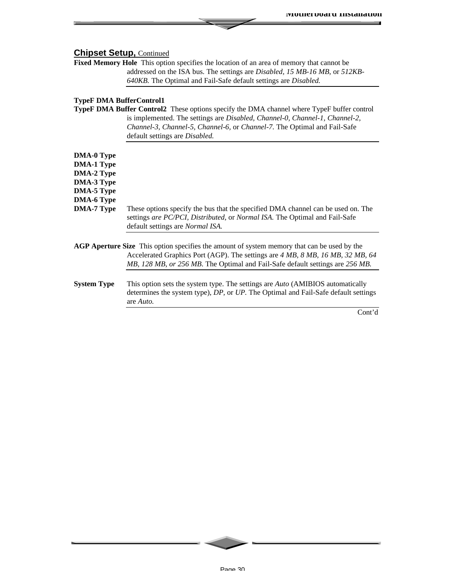**Fixed Memory Hole** This option specifies the location of an area of memory that cannot be addressed on the ISA bus. The settings are *Disabled, 15 MB-16 MB,* or *512KB-640KB.* The Optimal and Fail-Safe default settings are *Disabled.*

#### **TypeF DMA BufferControl1**

**TypeF DMA Buffer Control2** These options specify the DMA channel where TypeF buffer control is implemented. The settings are *Disabled, Channel-0, Channel-1, Channel-2, Channel-3, Channel-5, Channel-6,* or *Channel-7.* The Optimal and Fail-Safe default settings are *Disabled.*

| <b>DMA-0 Type</b>                      |                                                                                                                                                                                                            |  |  |
|----------------------------------------|------------------------------------------------------------------------------------------------------------------------------------------------------------------------------------------------------------|--|--|
| <b>DMA-1 Type</b><br><b>DMA-2 Type</b> |                                                                                                                                                                                                            |  |  |
| <b>DMA-3 Type</b>                      |                                                                                                                                                                                                            |  |  |
| <b>DMA-5 Type</b>                      |                                                                                                                                                                                                            |  |  |
| <b>DMA-6 Type</b>                      |                                                                                                                                                                                                            |  |  |
| <b>DMA-7 Type</b>                      | These options specify the bus that the specified DMA channel can be used on. The<br>settings are PC/PCI, Distributed, or Normal ISA. The Optimal and Fail-Safe<br>default settings are <i>Normal ISA</i> . |  |  |
|                                        | <b>AGP Aperture Size</b> This option specifies the amount of system memory that can be used by the<br>Accelerated Graphics Port (AGP). The settings are 4 MB, 8 MB, 16 MB, 32 MB, 64                       |  |  |
| <b>System Type</b>                     | MB, 128 MB, or 256 MB. The Optimal and Fail-Safe default settings are 256 MB.<br>This option sets the system type. The settings are <i>Auto</i> (AMIRIOS automatically                                     |  |  |

**System Type** This option sets the system type. The settings are *Auto* (AMIBIOS automatically determines the system type), *DP,* or *UP.* The Optimal and Fail-Safe default settings are *Auto.*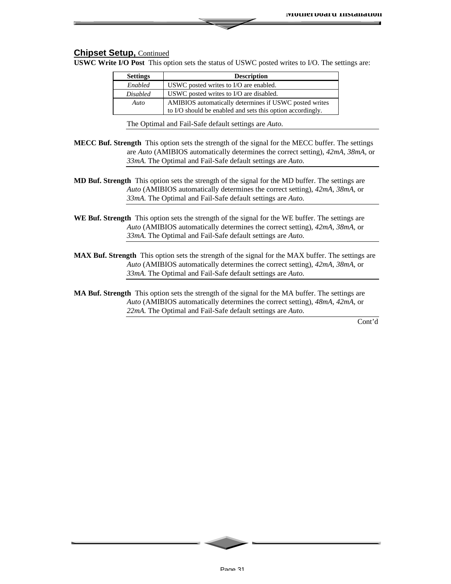**USWC Write I/O Post** This option sets the status of USWC posted writes to I/O. The settings are:

| <b>Settings</b> | <b>Description</b>                                         |  |
|-----------------|------------------------------------------------------------|--|
| Enabled         | USWC posted writes to I/O are enabled.                     |  |
| <i>Disabled</i> | USWC posted writes to I/O are disabled.                    |  |
| Auto            | AMIBIOS automatically determines if USWC posted writes     |  |
|                 | to I/O should be enabled and sets this option accordingly. |  |

The Optimal and Fail-Safe default settings are *Auto.*

- **MECC Buf. Strength** This option sets the strength of the signal for the MECC buffer. The settings are *Auto* (AMIBIOS automatically determines the correct setting), *42mA, 38mA,* or *33mA.* The Optimal and Fail-Safe default settings are *Auto.*
- **MD Buf. Strength** This option sets the strength of the signal for the MD buffer. The settings are *Auto* (AMIBIOS automatically determines the correct setting), *42mA, 38mA,* or *33mA.* The Optimal and Fail-Safe default settings are *Auto.*
- **WE Buf. Strength** This option sets the strength of the signal for the WE buffer. The settings are *Auto* (AMIBIOS automatically determines the correct setting), *42mA, 38mA,* or *33mA.* The Optimal and Fail-Safe default settings are *Auto.*
- **MAX Buf. Strength** This option sets the strength of the signal for the MAX buffer. The settings are *Auto* (AMIBIOS automatically determines the correct setting), *42mA, 38mA,* or *33mA.* The Optimal and Fail-Safe default settings are *Auto.*
- **MA Buf. Strength** This option sets the strength of the signal for the MA buffer. The settings are *Auto* (AMIBIOS automatically determines the correct setting), *48mA, 42mA,* or *22mA.* The Optimal and Fail-Safe default settings are *Auto.*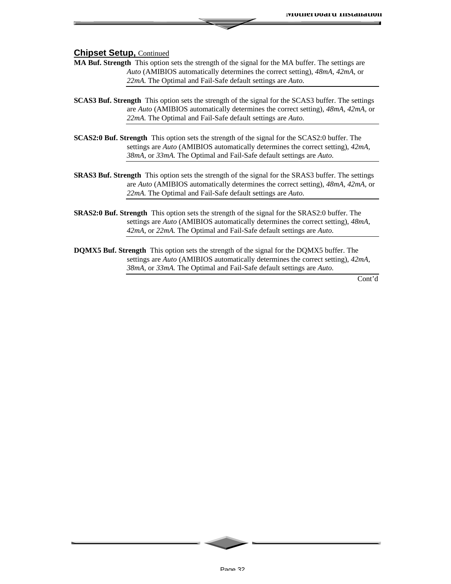- **MA Buf. Strength** This option sets the strength of the signal for the MA buffer. The settings are *Auto* (AMIBIOS automatically determines the correct setting), *48mA, 42mA,* or *22mA.* The Optimal and Fail-Safe default settings are *Auto.*
- **SCAS3 Buf. Strength** This option sets the strength of the signal for the SCAS3 buffer. The settings are *Auto* (AMIBIOS automatically determines the correct setting), *48mA, 42mA,* or *22mA.* The Optimal and Fail-Safe default settings are *Auto.*
- **SCAS2:0 Buf. Strength** This option sets the strength of the signal for the SCAS2:0 buffer. The settings are *Auto* (AMIBIOS automatically determines the correct setting), *42mA, 38mA,* or *33mA.* The Optimal and Fail-Safe default settings are *Auto.*
- **SRAS3 Buf. Strength** This option sets the strength of the signal for the SRAS3 buffer. The settings are *Auto* (AMIBIOS automatically determines the correct setting), *48mA, 42mA,* or *22mA.* The Optimal and Fail-Safe default settings are *Auto.*
- **SRAS2:0 Buf. Strength** This option sets the strength of the signal for the SRAS2:0 buffer. The settings are *Auto* (AMIBIOS automatically determines the correct setting), *48mA, 42mA,* or *22mA.* The Optimal and Fail-Safe default settings are *Auto.*
- **DQMX5 Buf. Strength** This option sets the strength of the signal for the DQMX5 buffer. The settings are *Auto* (AMIBIOS automatically determines the correct setting), *42mA, 38mA,* or *33mA.* The Optimal and Fail-Safe default settings are *Auto.*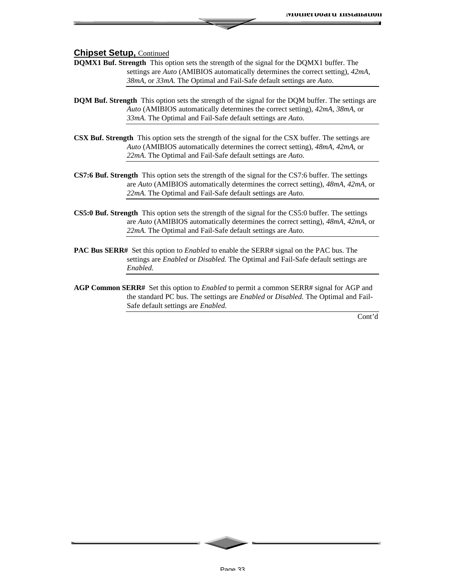- **DQMX1 Buf. Strength** This option sets the strength of the signal for the DQMX1 buffer. The settings are *Auto* (AMIBIOS automatically determines the correct setting), *42mA, 38mA,* or *33mA.* The Optimal and Fail-Safe default settings are *Auto.*
- **DQM Buf. Strength** This option sets the strength of the signal for the DQM buffer. The settings are *Auto* (AMIBIOS automatically determines the correct setting), *42mA, 38mA,* or *33mA.* The Optimal and Fail-Safe default settings are *Auto.*
- **CSX Buf. Strength** This option sets the strength of the signal for the CSX buffer. The settings are *Auto* (AMIBIOS automatically determines the correct setting), *48mA, 42mA,* or *22mA.* The Optimal and Fail-Safe default settings are *Auto.*
- **CS7:6 Buf. Strength** This option sets the strength of the signal for the CS7:6 buffer. The settings are *Auto* (AMIBIOS automatically determines the correct setting), *48mA, 42mA,* or *22mA.* The Optimal and Fail-Safe default settings are *Auto.*
- **CS5:0 Buf. Strength** This option sets the strength of the signal for the CS5:0 buffer. The settings are *Auto* (AMIBIOS automatically determines the correct setting), *48mA, 42mA,* or *22mA.* The Optimal and Fail-Safe default settings are *Auto.*
- **PAC Bus SERR#** Set this option to *Enabled* to enable the SERR# signal on the PAC bus. The settings are *Enabled* or *Disabled.* The Optimal and Fail-Safe default settings are *Enabled.*
- **AGP Common SERR#** Set this option to *Enabled* to permit a common SERR# signal for AGP and the standard PC bus. The settings are *Enabled* or *Disabled.* The Optimal and Fail-Safe default settings are *Enabled.*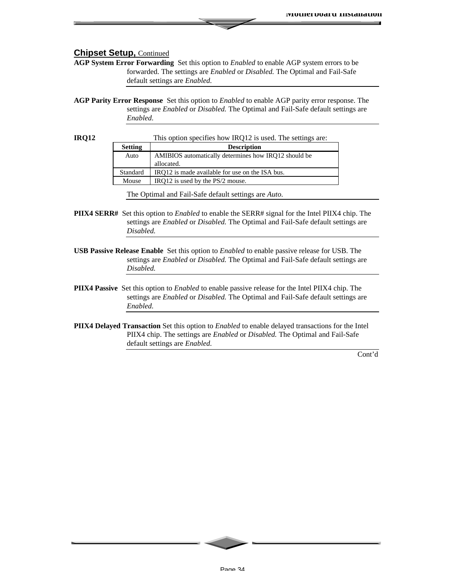**AGP System Error Forwarding** Set this option to *Enabled* to enable AGP system errors to be forwarded. The settings are *Enabled* or *Disabled.* The Optimal and Fail-Safe default settings are *Enabled.*

**AGP Parity Error Response** Set this option to *Enabled* to enable AGP parity error response. The settings are *Enabled* or *Disabled.* The Optimal and Fail-Safe default settings are *Enabled.*

| <b>IRO12</b>   | This option specifies how IRQ12 is used. The settings are: |                                                      |  |
|----------------|------------------------------------------------------------|------------------------------------------------------|--|
| <b>Setting</b> |                                                            | <b>Description</b>                                   |  |
|                | Auto                                                       | AMIBIOS automatically determines how IRO12 should be |  |
|                |                                                            | allocated.                                           |  |
|                | Standard                                                   | IRO12 is made available for use on the ISA bus.      |  |
|                | Mouse                                                      | IRQ12 is used by the PS/2 mouse.                     |  |

The Optimal and Fail-Safe default settings are *Auto.*

- **PIIX4 SERR#** Set this option to *Enabled* to enable the SERR# signal for the Intel PIIX4 chip. The settings are *Enabled* or *Disabled.* The Optimal and Fail-Safe default settings are *Disabled.*
- **USB Passive Release Enable** Set this option to *Enabled* to enable passive release for USB. The settings are *Enabled* or *Disabled.* The Optimal and Fail-Safe default settings are *Disabled.*
- **PIIX4 Passive** Set this option to *Enabled* to enable passive release for the Intel PIIX4 chip. The settings are *Enabled* or *Disabled.* The Optimal and Fail-Safe default settings are *Enabled.*
- **PIIX4 Delayed Transaction** Set this option to *Enabled* to enable delayed transactions for the Intel PIIX4 chip. The settings are *Enabled* or *Disabled.* The Optimal and Fail-Safe default settings are *Enabled.*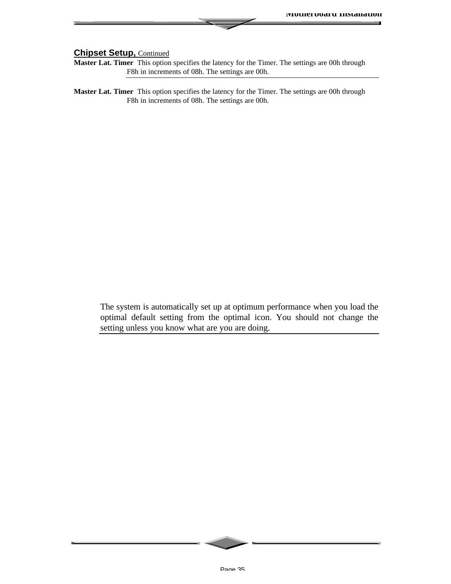**Master Lat. Timer** This option specifies the latency for the Timer. The settings are 00h through F8h in increments of 08h. The settings are 00h.

**Master Lat. Timer** This option specifies the latency for the Timer. The settings are 00h through F8h in increments of 08h. The settings are 00h.

The system is automatically set up at optimum performance when you load the optimal default setting from the optimal icon. You should not change the setting unless you know what are you are doing.

Page 35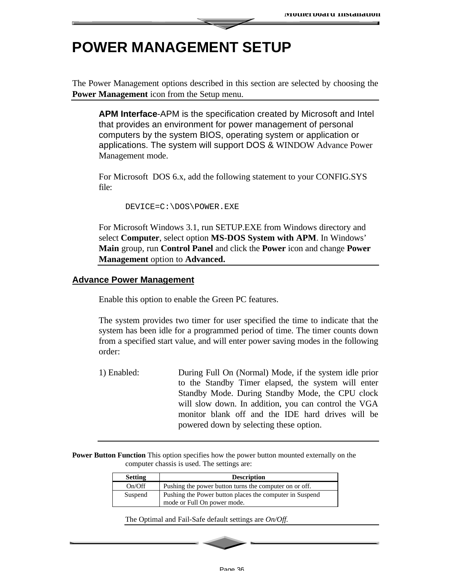### **POWER MANAGEMENT SETUP**

The Power Management options described in this section are selected by choosing the **Power Management** icon from the Setup menu.

**APM Interface**-APM is the specification created by Microsoft and Intel that provides an environment for power management of personal computers by the system BIOS, operating system or application or applications. The system will support DOS & WINDOW Advance Power Management mode.

For Microsoft DOS 6.x, add the following statement to your CONFIG.SYS file:

DEVICE=C:\DOS\POWER.EXE

For Microsoft Windows 3.1, run SETUP.EXE from Windows directory and select **Computer**, select option **MS-DOS System with APM**. In Windows' **Main** group, run **Control Panel** and click the **Power** icon and change **Power Management** option to **Advanced.**

#### **Advance Power Management**

Enable this option to enable the Green PC features.

The system provides two timer for user specified the time to indicate that the system has been idle for a programmed period of time. The timer counts down from a specified start value, and will enter power saving modes in the following order:

1) Enabled: During Full On (Normal) Mode, if the system idle prior to the Standby Timer elapsed, the system will enter Standby Mode. During Standby Mode, the CPU clock will slow down. In addition, you can control the VGA monitor blank off and the IDE hard drives will be powered down by selecting these option.

**Power Button Function** This option specifies how the power button mounted externally on the computer chassis is used. The settings are:

| <b>Setting</b> | <b>Description</b>                                      |  |
|----------------|---------------------------------------------------------|--|
| On/Off         | Pushing the power button turns the computer on or off.  |  |
| Suspend        | Pushing the Power button places the computer in Suspend |  |
|                | mode or Full On power mode.                             |  |

The Optimal and Fail-Safe default settings are *On/Off.*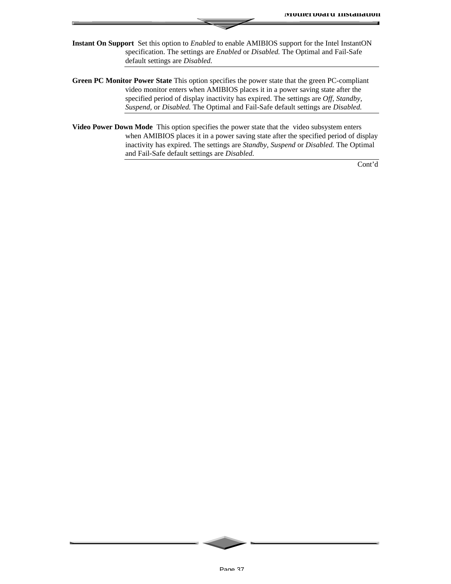- **Instant On Support** Set this option to *Enabled* to enable AMIBIOS support for the Intel InstantON specification. The settings are *Enabled* or *Disabled.* The Optimal and Fail-Safe default settings are *Disabled.*
- **Green PC Monitor Power State** This option specifies the power state that the green PC-compliant video monitor enters when AMIBIOS places it in a power saving state after the specified period of display inactivity has expired. The settings are *Off, Standby, Suspend,* or *Disabled.* The Optimal and Fail-Safe default settings are *Disabled.*
- **Video Power Down Mode** This option specifies the power state that the video subsystem enters when AMIBIOS places it in a power saving state after the specified period of display inactivity has expired. The settings are *Standby, Suspend* or *Disabled.* The Optimal and Fail-Safe default settings are *Disabled.*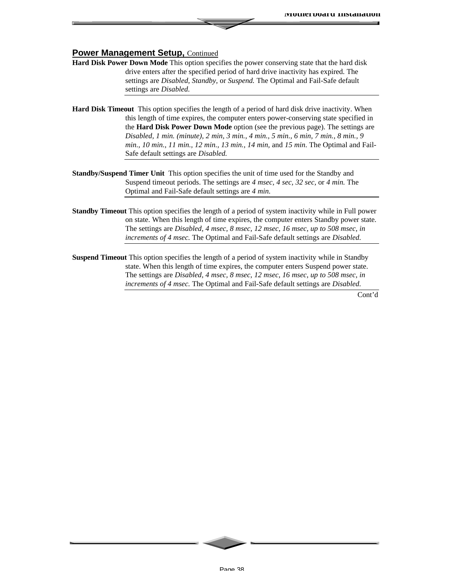#### **Power Management Setup, Continued**

- **Hard Disk Power Down Mode** This option specifies the power conserving state that the hard disk drive enters after the specified period of hard drive inactivity has expired. The settings are *Disabled, Standby,* or *Suspend.* The Optimal and Fail-Safe default settings are *Disabled.*
- **Hard Disk Timeout** This option specifies the length of a period of hard disk drive inactivity. When this length of time expires, the computer enters power-conserving state specified in the **Hard Disk Power Down Mode** option (see the previous page). The settings are *Disabled, 1 min. (minute), 2 min, 3 min., 4 min., 5 min., 6 min, 7 min., 8 min., 9 min., 10 min., 11 min., 12 min., 13 min., 14 min,* and *15 min*. The Optimal and Fail-Safe default settings are *Disabled.*
- **Standby/Suspend Timer Unit** This option specifies the unit of time used for the Standby and Suspend timeout periods. The settings are *4 msec, 4 sec, 32 sec,* or *4 min.* The Optimal and Fail-Safe default settings are *4 min.*
- **Standby Timeout** This option specifies the length of a period of system inactivity while in Full power on state. When this length of time expires, the computer enters Standby power state. The settings are *Disabled, 4 msec, 8 msec, 12 msec, 16 msec, up to 508 msec, in increments of 4 msec.* The Optimal and Fail-Safe default settings are *Disabled.*
- **Suspend Timeout** This option specifies the length of a period of system inactivity while in Standby state. When this length of time expires, the computer enters Suspend power state. The settings are *Disabled, 4 msec, 8 msec, 12 msec, 16 msec, up to 508 msec, in increments of 4 msec.* The Optimal and Fail-Safe default settings are *Disabled.*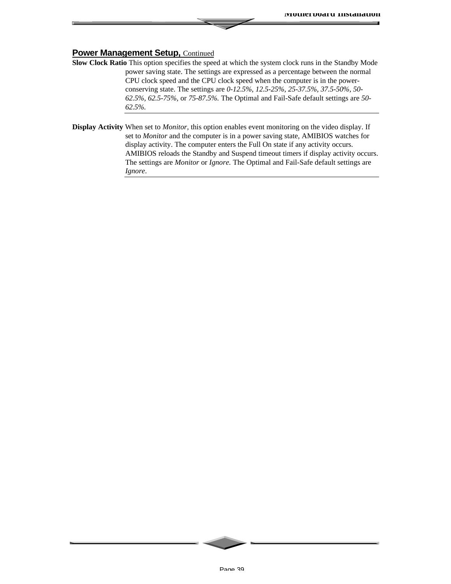#### **Power Management Setup, Continued**

- **Slow Clock Ratio** This option specifies the speed at which the system clock runs in the Standby Mode power saving state. The settings are expressed as a percentage between the normal CPU clock speed and the CPU clock speed when the computer is in the powerconserving state. The settings are *0-12.5%, 12.5-25%, 25-37.5%, 37.5-50%, 50- 62.5%, 62.5-75%,* or *75-87.5%.* The Optimal and Fail-Safe default settings are *50- 62.5%.*
- **Display Activity** When set to *Monitor,* this option enables event monitoring on the video display. If set to *Monitor* and the computer is in a power saving state, AMIBIOS watches for display activity. The computer enters the Full On state if any activity occurs. AMIBIOS reloads the Standby and Suspend timeout timers if display activity occurs. The settings are *Monitor* or *Ignore.* The Optimal and Fail-Safe default settings are *Ignore*.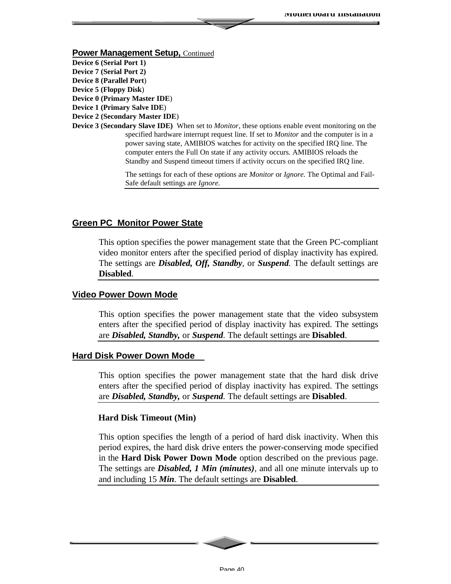#### **Power Management Setup, Continued**

- **Device 6 (Serial Port 1)**
- **Device 7 (Serial Port 2) Device 8 (Parallel Port**)
- **Device 5 (Floppy Disk**)
- **Device 0 (Primary Master IDE**)
- **Device 1 (Primary Salve IDE**)
- **Device 2 (Secondary Master IDE**)
- **Device 3 (Secondary Slave IDE)** When set to *Monitor,* these options enable event monitoring on the specified hardware interrupt request line. If set to *Monitor* and the computer is in a power saving state, AMIBIOS watches for activity on the specified IRQ line. The computer enters the Full On state if any activity occurs. AMIBIOS reloads the Standby and Suspend timeout timers if activity occurs on the specified IRQ line.

The settings for each of these options are *Monitor* or *Ignore.* The Optimal and Fail-Safe default settings are *Ignore.*

#### **Green PC Monitor Power State**

This option specifies the power management state that the Green PC-compliant video monitor enters after the specified period of display inactivity has expired. The settings are *Disabled, Off, Standby,* or *Suspend.* The default settings are **Disabled**.

#### **Video Power Down Mode**

This option specifies the power management state that the video subsystem enters after the specified period of display inactivity has expired. The settings are *Disabled, Standby,* or *Suspend.* The default settings are **Disabled**.

#### **Hard Disk Power Down Mode**

This option specifies the power management state that the hard disk drive enters after the specified period of display inactivity has expired. The settings are *Disabled, Standby,* or *Suspend.* The default settings are **Disabled**.

#### **Hard Disk Timeout (Min)**

This option specifies the length of a period of hard disk inactivity. When this period expires, the hard disk drive enters the power-conserving mode specified in the **Hard Disk Power Down Mode** option described on the previous page. The settings are *Disabled, 1 Min (minutes),* and all one minute intervals up to and including 15 *Min*. The default settings are **Disabled**.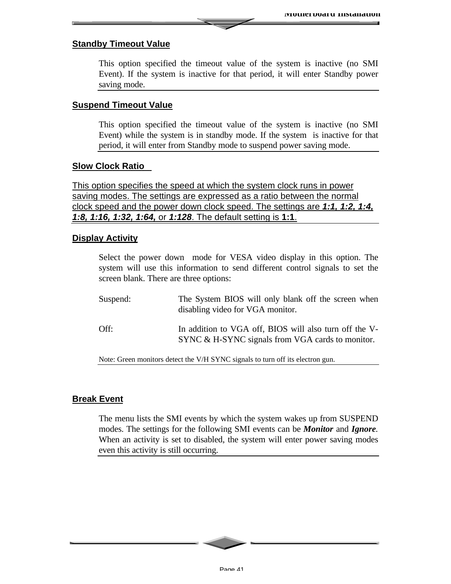#### **Standby Timeout Value**

This option specified the timeout value of the system is inactive (no SMI Event). If the system is inactive for that period, it will enter Standby power saving mode.

#### **Suspend Timeout Value**

This option specified the timeout value of the system is inactive (no SMI Event) while the system is in standby mode. If the system is inactive for that period, it will enter from Standby mode to suspend power saving mode.

#### **Slow Clock Ratio**

This option specifies the speed at which the system clock runs in power saving modes. The settings are expressed as a ratio between the normal clock speed and the power down clock speed. The settings are *1:1, 1:2, 1:4, 1:8, 1:16, 1:32, 1:64,* or *1:128*. The default setting is **1:1**.

#### **Display Activity**

Select the power down mode for VESA video display in this option. The system will use this information to send different control signals to set the screen blank. There are three options:

| Suspend: | The System BIOS will only blank off the screen when<br>disabling video for VGA monitor.                    |
|----------|------------------------------------------------------------------------------------------------------------|
| Off:     | In addition to VGA off, BIOS will also turn off the V-<br>SYNC & H-SYNC signals from VGA cards to monitor. |

Note: Green monitors detect the V/H SYNC signals to turn off its electron gun.

#### **Break Event**

The menu lists the SMI events by which the system wakes up from SUSPEND modes. The settings for the following SMI events can be *Monitor* and *Ignore.* When an activity is set to disabled, the system will enter power saving modes even this activity is still occurring.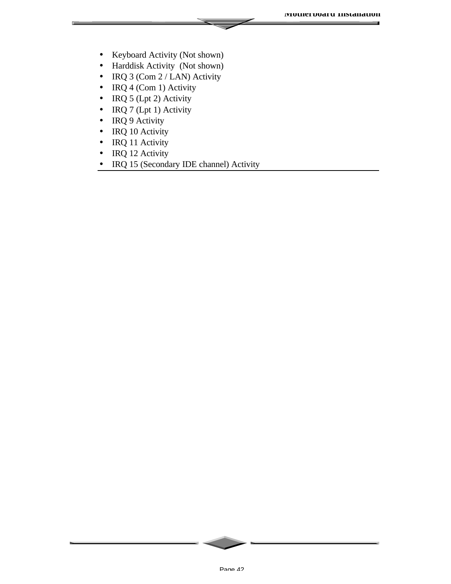- Keyboard Activity (Not shown)
- Harddisk Activity (Not shown)
- IRQ 3 (Com 2 / LAN) Activity
- IRQ  $4$  (Com 1) Activity
- IRQ 5 (Lpt 2) Activity
- IRQ 7 (Lpt 1) Activity
- IRQ 9 Activity
- IRQ 10 Activity
- IRQ 11 Activity
- IRQ 12 Activity
- IRQ 15 (Secondary IDE channel) Activity

Page 42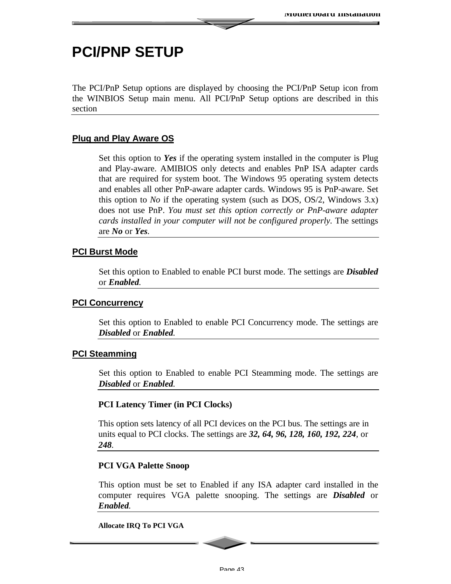### **PCI/PNP SETUP**

The PCI/PnP Setup options are displayed by choosing the PCI/PnP Setup icon from the WINBIOS Setup main menu. All PCI/PnP Setup options are described in this section

#### **Plug and Play Aware OS**

Set this option to *Yes* if the operating system installed in the computer is Plug and Play-aware. AMIBIOS only detects and enables PnP ISA adapter cards that are required for system boot. The Windows 95 operating system detects and enables all other PnP-aware adapter cards. Windows 95 is PnP-aware. Set this option to *No* if the operating system (such as DOS, OS/2, Windows 3.x) does not use PnP. *You must set this option correctly or PnP-aware adapter cards installed in your computer will not be configured properly.* The settings are *No* or *Yes.*

#### **PCI Burst Mode**

Set this option to Enabled to enable PCI burst mode. The settings are *Disabled* or *Enabled.*

#### **PCI Concurrency**

Set this option to Enabled to enable PCI Concurrency mode. The settings are *Disabled* or *Enabled.*

#### **PCI Steamming**

Set this option to Enabled to enable PCI Steamming mode. The settings are *Disabled* or *Enabled.*

#### **PCI Latency Timer (in PCI Clocks)**

This option sets latency of all PCI devices on the PCI bus. The settings are in units equal to PCI clocks. The settings are *32, 64, 96, 128, 160, 192, 224,* or *248.*

#### **PCI VGA Palette Snoop**

This option must be set to Enabled if any ISA adapter card installed in the computer requires VGA palette snooping. The settings are *Disabled* or *Enabled.*

**Allocate IRQ To PCI VGA**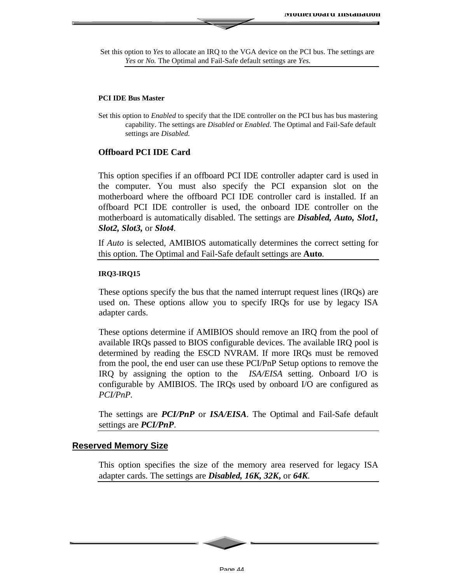Set this option to *Yes* to allocate an IRQ to the VGA device on the PCI bus. The settings are *Yes* or *No.* The Optimal and Fail-Safe default settings are *Yes.*

#### **PCI IDE Bus Master**

#### **Offboard PCI IDE Card**

This option specifies if an offboard PCI IDE controller adapter card is used in the computer. You must also specify the PCI expansion slot on the motherboard where the offboard PCI IDE controller card is installed. If an offboard PCI IDE controller is used, the onboard IDE controller on the motherboard is automatically disabled. The settings are *Disabled, Auto, Slot1, Slot2, Slot3,* or *Slot4.*

If *Auto* is selected, AMIBIOS automatically determines the correct setting for this option. The Optimal and Fail-Safe default settings are **Auto***.*

#### **IRQ3-IRQ15**

These options specify the bus that the named interrupt request lines (IRQs) are used on. These options allow you to specify IRQs for use by legacy ISA adapter cards.

These options determine if AMIBIOS should remove an IRQ from the pool of available IRQs passed to BIOS configurable devices. The available IRQ pool is determined by reading the ESCD NVRAM. If more IRQs must be removed from the pool, the end user can use these PCI/PnP Setup options to remove the IRQ by assigning the option to the *ISA/EISA* setting. Onboard I/O is configurable by AMIBIOS. The IRQs used by onboard I/O are configured as *PCI/PnP.*

The settings are *PCI/PnP* or *ISA/EISA*. The Optimal and Fail-Safe default settings are *PCI/PnP*.

#### **Reserved Memory Size**

This option specifies the size of the memory area reserved for legacy ISA adapter cards. The settings are *Disabled, 16K, 32K***,** or *64K.*

Set this option to *Enabled* to specify that the IDE controller on the PCI bus has bus mastering capability. The settings are *Disabled* or *Enabled*. The Optimal and Fail-Safe default settings are *Disabled.*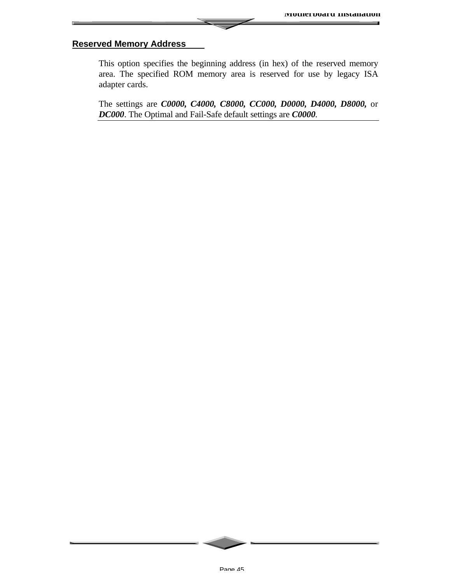#### **Reserved Memory Address**

This option specifies the beginning address (in hex) of the reserved memory area. The specified ROM memory area is reserved for use by legacy ISA adapter cards.

The settings are *C0000, C4000, C8000, CC000, D0000, D4000, D8000,* or *DC000*. The Optimal and Fail-Safe default settings are *C0000.*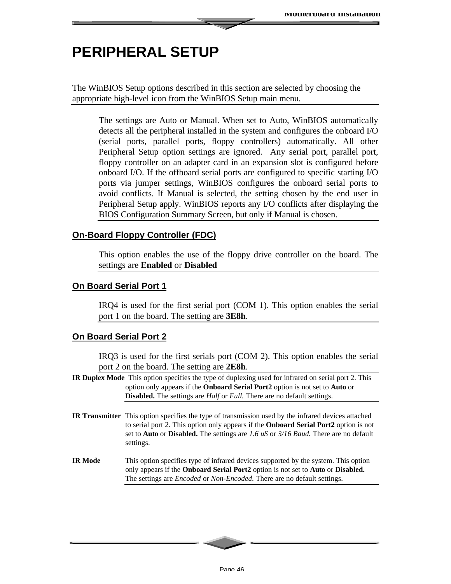### **PERIPHERAL SETUP**

The WinBIOS Setup options described in this section are selected by choosing the appropriate high-level icon from the WinBIOS Setup main menu.

The settings are Auto or Manual. When set to Auto, WinBIOS automatically detects all the peripheral installed in the system and configures the onboard I/O (serial ports, parallel ports, floppy controllers) automatically. All other Peripheral Setup option settings are ignored. Any serial port, parallel port, floppy controller on an adapter card in an expansion slot is configured before onboard I/O. If the offboard serial ports are configured to specific starting I/O ports via jumper settings, WinBIOS configures the onboard serial ports to avoid conflicts. If Manual is selected, the setting chosen by the end user in Peripheral Setup apply. WinBIOS reports any I/O conflicts after displaying the BIOS Configuration Summary Screen, but only if Manual is chosen.

#### **On-Board Floppy Controller (FDC)**

This option enables the use of the floppy drive controller on the board. The settings are **Enabled** or **Disabled**

#### **On Board Serial Port 1**

IRQ4 is used for the first serial port (COM 1). This option enables the serial port 1 on the board. The setting are **3E8h**.

#### **On Board Serial Port 2**

IRQ3 is used for the first serials port (COM 2). This option enables the serial port 2 on the board. The setting are **2E8h**.

- **IR Duplex Mode** This option specifies the type of duplexing used for infrared on serial port 2. This option only appears if the **Onboard Serial Port2** option is not set to **Auto** or **Disabled.** The settings are *Half* or *Full.* There are no default settings.
- **IR Transmitter** This option specifies the type of transmission used by the infrared devices attached to serial port 2. This option only appears if the **Onboard Serial Port2** option is not set to **Auto** or **Disabled.** The settings are *1.6 uS* or *3/16 Baud.* There are no default settings.
- **IR Mode** This option specifies type of infrared devices supported by the system. This option only appears if the **Onboard Serial Port2** option is not set to **Auto** or **Disabled.** The settings are *Encoded* or *Non-Encoded*. There are no default settings.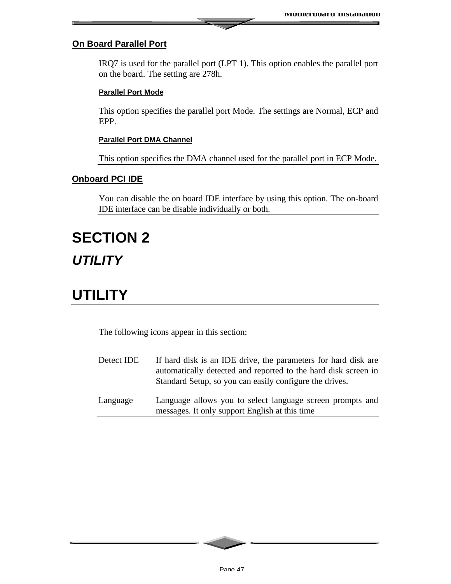#### **On Board Parallel Port**

IRQ7 is used for the parallel port (LPT 1). This option enables the parallel port on the board. The setting are 278h.

#### **Parallel Port Mode**

This option specifies the parallel port Mode. The settings are Normal, ECP and EPP.

#### **Parallel Port DMA Channel**

This option specifies the DMA channel used for the parallel port in ECP Mode.

#### **Onboard PCI IDE**

You can disable the on board IDE interface by using this option. The on-board IDE interface can be disable individually or both.

# **SECTION 2** *UTILITY*

### **UTILITY**

The following icons appear in this section:

- Detect IDE If hard disk is an IDE drive, the parameters for hard disk are automatically detected and reported to the hard disk screen in Standard Setup, so you can easily configure the drives. Language Language allows you to select language screen prompts and
- messages. It only support English at this time

Page 47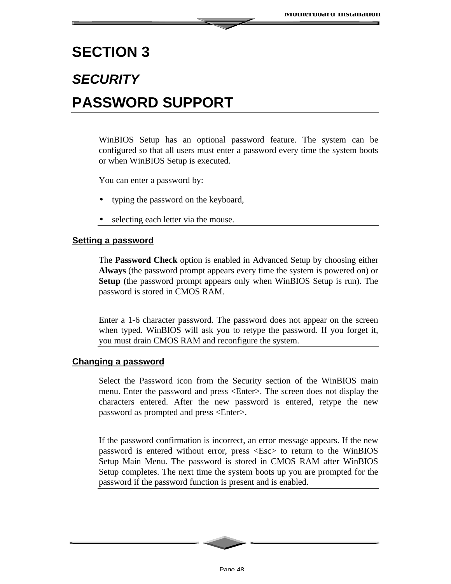### **SECTION 3**

# *SECURITY* **PASSWORD SUPPORT**

WinBIOS Setup has an optional password feature. The system can be configured so that all users must enter a password every time the system boots or when WinBIOS Setup is executed.

You can enter a password by:

- typing the password on the keyboard,
- selecting each letter via the mouse.

#### **Setting a password**

The **Password Check** option is enabled in Advanced Setup by choosing either **Always** (the password prompt appears every time the system is powered on) or **Setup** (the password prompt appears only when WinBIOS Setup is run). The password is stored in CMOS RAM.

Enter a 1-6 character password. The password does not appear on the screen when typed. WinBIOS will ask you to retype the password. If you forget it, you must drain CMOS RAM and reconfigure the system.

#### **Changing a password**

Select the Password icon from the Security section of the WinBIOS main menu. Enter the password and press <Enter>. The screen does not display the characters entered. After the new password is entered, retype the new password as prompted and press <Enter>.

If the password confirmation is incorrect, an error message appears. If the new password is entered without error, press <Esc> to return to the WinBIOS Setup Main Menu. The password is stored in CMOS RAM after WinBIOS Setup completes. The next time the system boots up you are prompted for the password if the password function is present and is enabled.

Page 48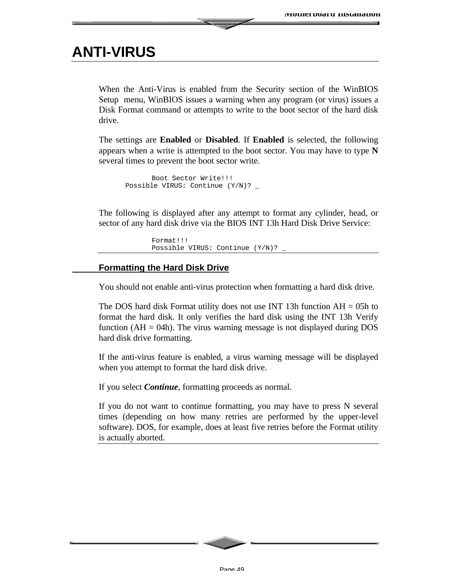### **ANTI-VIRUS**

When the Anti-Virus is enabled from the Security section of the WinBIOS Setup menu, WinBIOS issues a warning when any program (or virus) issues a Disk Format command or attempts to write to the boot sector of the hard disk drive.

The settings are **Enabled** or **Disabled**. If **Enabled** is selected, the following appears when a write is attempted to the boot sector. You may have to type **N** several times to prevent the boot sector write.

```
Boot Sector Write!!!
Possible VIRUS: Continue (Y/N)? _
```
The following is displayed after any attempt to format any cylinder, head, or sector of any hard disk drive via the BIOS INT 13h Hard Disk Drive Service:

```
Format!!!
Possible VIRUS: Continue (Y/N)? _
```
#### **Formatting the Hard Disk Drive**

You should not enable anti-virus protection when formatting a hard disk drive.

The DOS hard disk Format utility does not use INT 13h function  $AH = 05h$  to format the hard disk. It only verifies the hard disk using the INT 13h Verify function ( $AH = 04h$ ). The virus warning message is not displayed during DOS hard disk drive formatting.

If the anti-virus feature is enabled, a virus warning message will be displayed when you attempt to format the hard disk drive.

If you select *Continue*, formatting proceeds as normal.

If you do not want to continue formatting, you may have to press N several times (depending on how many retries are performed by the upper-level software). DOS, for example, does at least five retries before the Format utility is actually aborted.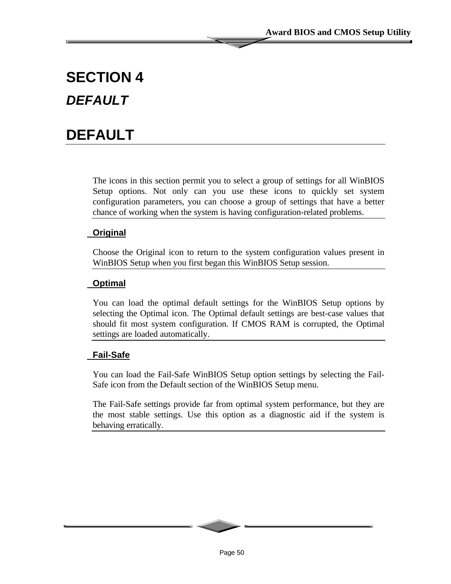# **SECTION 4** *DEFAULT*

# **DEFAULT**

The icons in this section permit you to select a group of settings for all WinBIOS Setup options. Not only can you use these icons to quickly set system configuration parameters, you can choose a group of settings that have a better chance of working when the system is having configuration-related problems.

#### **Original**

Choose the Original icon to return to the system configuration values present in WinBIOS Setup when you first began this WinBIOS Setup session.

#### **Optimal**

You can load the optimal default settings for the WinBIOS Setup options by selecting the Optimal icon. The Optimal default settings are best-case values that should fit most system configuration. If CMOS RAM is corrupted, the Optimal settings are loaded automatically.

#### **Fail-Safe**

You can load the Fail-Safe WinBIOS Setup option settings by selecting the Fail-Safe icon from the Default section of the WinBIOS Setup menu.

The Fail-Safe settings provide far from optimal system performance, but they are the most stable settings. Use this option as a diagnostic aid if the system is behaving erratically.

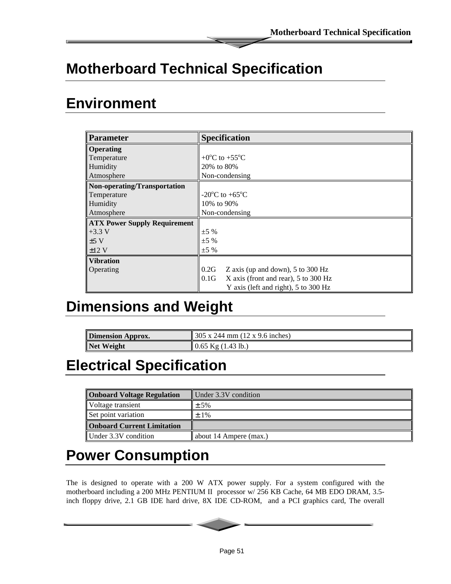# **Motherboard Technical Specification**

### **Environment**

| <b>Parameter</b>                    | <b>Specification</b>                         |
|-------------------------------------|----------------------------------------------|
| <b>Operating</b>                    |                                              |
| Temperature                         | +0 <sup>o</sup> C to +55 <sup>o</sup> C      |
| Humidity                            | 20\% to 80\%                                 |
| Atmosphere                          | Non-condensing                               |
| Non-operating/Transportation        |                                              |
| Temperature                         | $-20^{\circ}$ C to $+65^{\circ}$ C           |
| Humidity                            | 10\% to 90\%                                 |
| Atmosphere                          | Non-condensing                               |
| <b>ATX Power Supply Requirement</b> |                                              |
| $+3.3 V$                            | $\pm 5\%$                                    |
| ±5V                                 | $+5\%$                                       |
| ±12V                                | $\pm 5\%$                                    |
| <b>Vibration</b>                    |                                              |
| Operating                           | 0.2G<br>Z axis (up and down), 5 to 300 Hz    |
|                                     | 0.1G<br>X axis (front and rear), 5 to 300 Hz |
|                                     | Y axis (left and right), 5 to 300 Hz         |

# **Dimensions and Weight**

| <b>Dimension Approx.</b> | $\parallel$ 305 x 244 mm (12 x 9.6 inches) |
|--------------------------|--------------------------------------------|
| Net Weight               | $\parallel$ 0.65 Kg (1.43 lb.)             |

# **Electrical Specification**

| <b>Onboard Voltage Regulation</b> | Under 3.3V condition     |
|-----------------------------------|--------------------------|
| Voltage transient                 | $\pm$ 5%                 |
| Set point variation               | $±1\%$                   |
| <b>Onboard Current Limitation</b> |                          |
| Under 3.3V condition              | about 14 Ampere $(max.)$ |

## **Power Consumption**

The is designed to operate with a 200 W ATX power supply. For a system configured with the motherboard including a 200 MHz PENTIUM II processor w/ 256 KB Cache, 64 MB EDO DRAM, 3.5 inch floppy drive, 2.1 GB IDE hard drive, 8X IDE CD-ROM, and a PCI graphics card, The overall

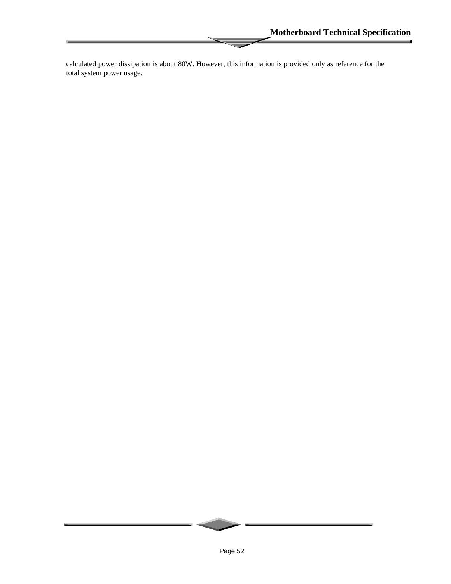$\blacksquare$ 

calculated power dissipation is about 80W. However, this information is provided only as reference for the total system power usage.

匝